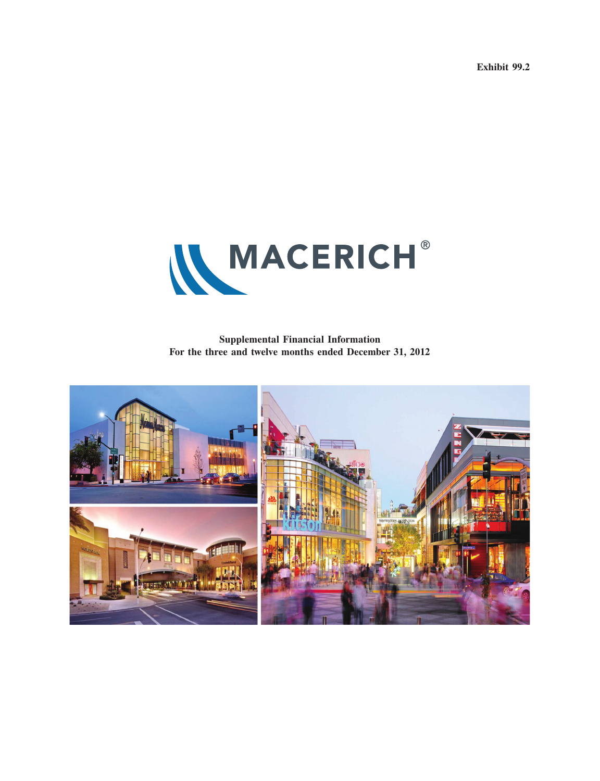**Exhibit 99.2**



**Supplemental Financial Information For the three and twelve months ended December 31, 2012**

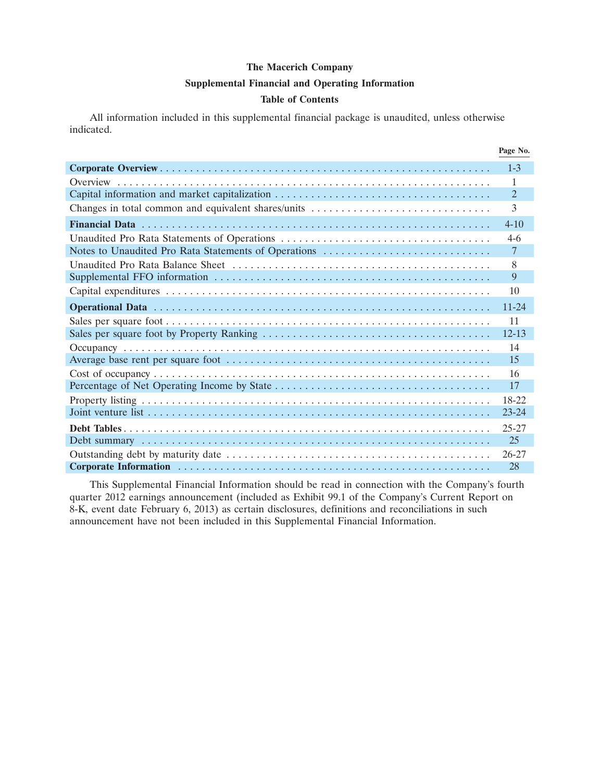#### **Supplemental Financial and Operating Information**

#### **Table of Contents**

All information included in this supplemental financial package is unaudited, unless otherwise indicated.

|                                                      | Page No.       |
|------------------------------------------------------|----------------|
|                                                      | $1 - 3$        |
|                                                      | 1              |
|                                                      | $\overline{2}$ |
|                                                      | $\mathcal{F}$  |
|                                                      | $4 - 10$       |
|                                                      | $4-6$          |
| Notes to Unaudited Pro Rata Statements of Operations | $\overline{7}$ |
|                                                      | 8              |
|                                                      | 9              |
|                                                      | 10             |
|                                                      | $11 - 24$      |
|                                                      | 11             |
|                                                      | $12 - 13$      |
|                                                      | 14             |
|                                                      | 15             |
|                                                      | 16             |
|                                                      | 17             |
|                                                      | 18-22          |
|                                                      | $23 - 24$      |
|                                                      | 25-27          |
|                                                      | 25             |
|                                                      | $26 - 27$      |
|                                                      | 28             |

This Supplemental Financial Information should be read in connection with the Company's fourth quarter 2012 earnings announcement (included as Exhibit 99.1 of the Company's Current Report on 8-K, event date February 6, 2013) as certain disclosures, definitions and reconciliations in such announcement have not been included in this Supplemental Financial Information.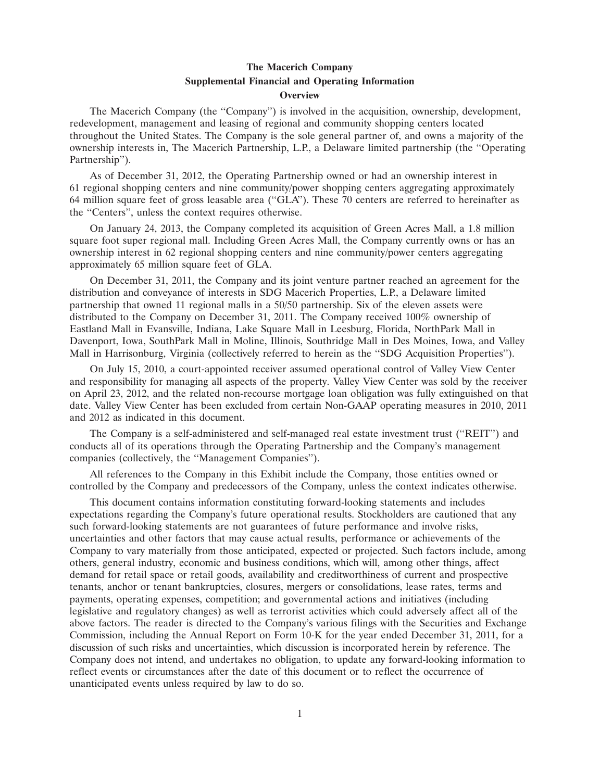#### **The Macerich Company Supplemental Financial and Operating Information Overview**

The Macerich Company (the ''Company'') is involved in the acquisition, ownership, development, redevelopment, management and leasing of regional and community shopping centers located throughout the United States. The Company is the sole general partner of, and owns a majority of the ownership interests in, The Macerich Partnership, L.P., a Delaware limited partnership (the ''Operating Partnership'').

As of December 31, 2012, the Operating Partnership owned or had an ownership interest in 61 regional shopping centers and nine community/power shopping centers aggregating approximately 64 million square feet of gross leasable area (''GLA''). These 70 centers are referred to hereinafter as the ''Centers'', unless the context requires otherwise.

On January 24, 2013, the Company completed its acquisition of Green Acres Mall, a 1.8 million square foot super regional mall. Including Green Acres Mall, the Company currently owns or has an ownership interest in 62 regional shopping centers and nine community/power centers aggregating approximately 65 million square feet of GLA.

On December 31, 2011, the Company and its joint venture partner reached an agreement for the distribution and conveyance of interests in SDG Macerich Properties, L.P., a Delaware limited partnership that owned 11 regional malls in a 50/50 partnership. Six of the eleven assets were distributed to the Company on December 31, 2011. The Company received 100% ownership of Eastland Mall in Evansville, Indiana, Lake Square Mall in Leesburg, Florida, NorthPark Mall in Davenport, Iowa, SouthPark Mall in Moline, Illinois, Southridge Mall in Des Moines, Iowa, and Valley Mall in Harrisonburg, Virginia (collectively referred to herein as the ''SDG Acquisition Properties'').

On July 15, 2010, a court-appointed receiver assumed operational control of Valley View Center and responsibility for managing all aspects of the property. Valley View Center was sold by the receiver on April 23, 2012, and the related non-recourse mortgage loan obligation was fully extinguished on that date. Valley View Center has been excluded from certain Non-GAAP operating measures in 2010, 2011 and 2012 as indicated in this document.

The Company is a self-administered and self-managed real estate investment trust (''REIT'') and conducts all of its operations through the Operating Partnership and the Company's management companies (collectively, the ''Management Companies'').

All references to the Company in this Exhibit include the Company, those entities owned or controlled by the Company and predecessors of the Company, unless the context indicates otherwise.

This document contains information constituting forward-looking statements and includes expectations regarding the Company's future operational results. Stockholders are cautioned that any such forward-looking statements are not guarantees of future performance and involve risks, uncertainties and other factors that may cause actual results, performance or achievements of the Company to vary materially from those anticipated, expected or projected. Such factors include, among others, general industry, economic and business conditions, which will, among other things, affect demand for retail space or retail goods, availability and creditworthiness of current and prospective tenants, anchor or tenant bankruptcies, closures, mergers or consolidations, lease rates, terms and payments, operating expenses, competition; and governmental actions and initiatives (including legislative and regulatory changes) as well as terrorist activities which could adversely affect all of the above factors. The reader is directed to the Company's various filings with the Securities and Exchange Commission, including the Annual Report on Form 10-K for the year ended December 31, 2011, for a discussion of such risks and uncertainties, which discussion is incorporated herein by reference. The Company does not intend, and undertakes no obligation, to update any forward-looking information to reflect events or circumstances after the date of this document or to reflect the occurrence of unanticipated events unless required by law to do so.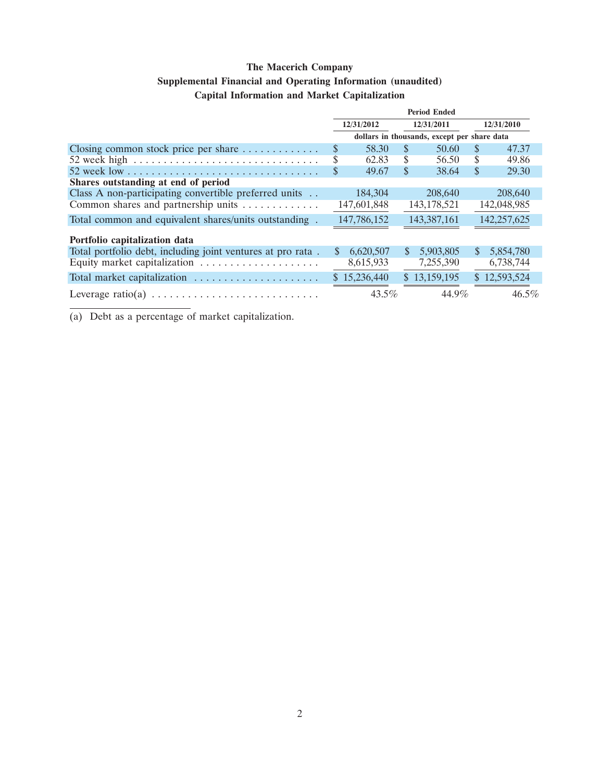### **Supplemental Financial and Operating Information (unaudited)**

### **Capital Information and Market Capitalization**

|                                                                               | <b>Period Ended</b> |              |               |                                             |              |              |
|-------------------------------------------------------------------------------|---------------------|--------------|---------------|---------------------------------------------|--------------|--------------|
|                                                                               |                     | 12/31/2012   |               | 12/31/2011                                  |              | 12/31/2010   |
|                                                                               |                     |              |               | dollars in thousands, except per share data |              |              |
| Closing common stock price per share $\dots \dots \dots$                      | \$                  | 58.30        | <b>S</b>      | 50.60                                       | \$           | 47.37        |
| 52 week high $\ldots \ldots \ldots \ldots \ldots \ldots \ldots \ldots \ldots$ | \$                  | 62.83        | S             | 56.50                                       | \$           | 49.86        |
|                                                                               | \$                  | 49.67        | <sup>\$</sup> | 38.64                                       | S            | 29.30        |
| Shares outstanding at end of period                                           |                     |              |               |                                             |              |              |
| Class A non-participating convertible preferred units                         |                     | 184,304      |               | 208,640                                     |              | 208,640      |
| Common shares and partnership units                                           |                     | 147,601,848  |               | 143, 178, 521                               |              | 142,048,985  |
| Total common and equivalent shares/units outstanding.                         |                     | 147,786,152  |               | 143,387,161                                 |              | 142,257,625  |
| Portfolio capitalization data                                                 |                     |              |               |                                             |              |              |
| Total portfolio debt, including joint ventures at pro rata.                   | $\mathbb{S}$        | 6,620,507    | S             | 5,903,805                                   | $\mathbb{S}$ | 5,854,780    |
| Equity market capitalization                                                  |                     | 8,615,933    |               | 7,255,390                                   |              | 6,738,744    |
| Total market capitalization                                                   |                     | \$15,236,440 |               | \$13,159,195                                |              | \$12,593,524 |
|                                                                               |                     | $43.5\%$     |               | 44.9%                                       |              | $46.5\%$     |

(a) Debt as a percentage of market capitalization.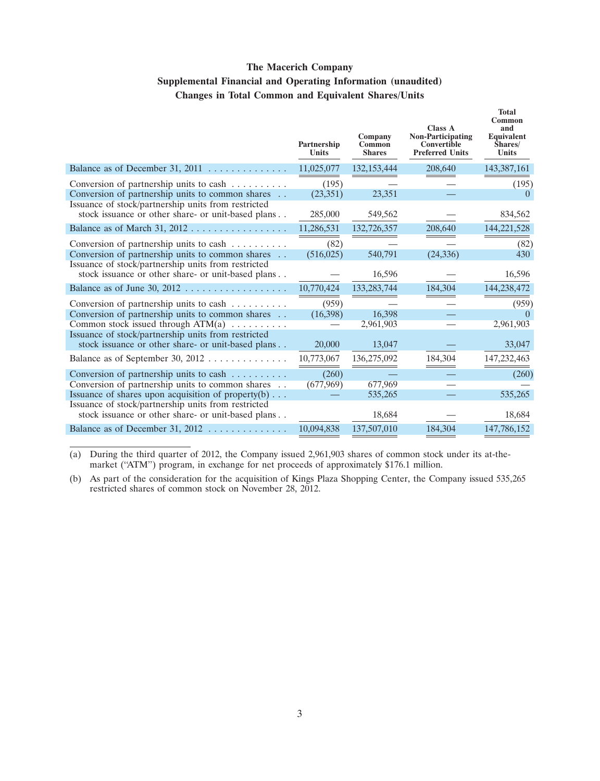### **The Macerich Company Supplemental Financial and Operating Information (unaudited) Changes in Total Common and Equivalent Shares/Units**

|                                                                                                           | Partnership<br><b>Units</b> | Company<br>Common<br><b>Shares</b> | Class A<br><b>Non-Participating</b><br>Convertible<br><b>Preferred Units</b> | <b>Total</b><br>Common<br>and<br>Equivalent<br>Shares/<br><b>Units</b> |
|-----------------------------------------------------------------------------------------------------------|-----------------------------|------------------------------------|------------------------------------------------------------------------------|------------------------------------------------------------------------|
| Balance as of December 31, 2011 $\dots \dots \dots \dots$                                                 | 11,025,077                  | 132, 153, 444                      | 208,640                                                                      | 143,387,161                                                            |
| Conversion of partnership units to cash<br>Conversion of partnership units to common shares               | (195)<br>(23, 351)          | 23,351                             |                                                                              | (195)                                                                  |
| Issuance of stock/partnership units from restricted<br>stock issuance or other share- or unit-based plans | 285,000                     | 549,562                            |                                                                              | 834,562                                                                |
|                                                                                                           | 11,286,531                  | 132,726,357                        | 208,640                                                                      | 144,221,528                                                            |
| Conversion of partnership units to cash<br>Conversion of partnership units to common shares               | (82)<br>(516, 025)          | 540,791                            | (24, 336)                                                                    | (82)<br>430                                                            |
| Issuance of stock/partnership units from restricted<br>stock issuance or other share- or unit-based plans |                             | 16,596                             |                                                                              | 16,596                                                                 |
|                                                                                                           | 10,770,424                  | 133, 283, 744                      | 184,304                                                                      | 144,238,472                                                            |
| Conversion of partnership units to cash                                                                   | (959)                       |                                    |                                                                              | (959)                                                                  |
| Conversion of partnership units to common shares<br>Common stock issued through $ATM(a)$                  | (16,398)                    | 16,398<br>2,961,903                |                                                                              | 2,961,903                                                              |
| Issuance of stock/partnership units from restricted<br>stock issuance or other share- or unit-based plans | 20,000                      | 13,047                             |                                                                              | 33,047                                                                 |
| Balance as of September 30, 2012                                                                          | 10,773,067                  | 136,275,092                        | 184,304                                                                      | 147,232,463                                                            |
| Conversion of partnership units to cash                                                                   | (260)                       |                                    |                                                                              | (260)                                                                  |
| Conversion of partnership units to common shares                                                          | (677,969)                   | 677,969                            |                                                                              |                                                                        |
| Issuance of shares upon acquisition of property $(b) \ldots$                                              |                             | 535,265                            |                                                                              | 535,265                                                                |
| Issuance of stock/partnership units from restricted<br>stock issuance or other share- or unit-based plans |                             | 18,684                             |                                                                              | 18,684                                                                 |
| Balance as of December 31, 2012 $\dots \dots \dots \dots$                                                 | 10,094,838                  | 137,507,010                        | 184,304                                                                      | 147,786,152                                                            |
|                                                                                                           |                             |                                    |                                                                              |                                                                        |

(a) During the third quarter of 2012, the Company issued 2,961,903 shares of common stock under its at-themarket ("ATM") program, in exchange for net proceeds of approximately \$176.1 million.

(b) As part of the consideration for the acquisition of Kings Plaza Shopping Center, the Company issued 535,265 restricted shares of common stock on November 28, 2012.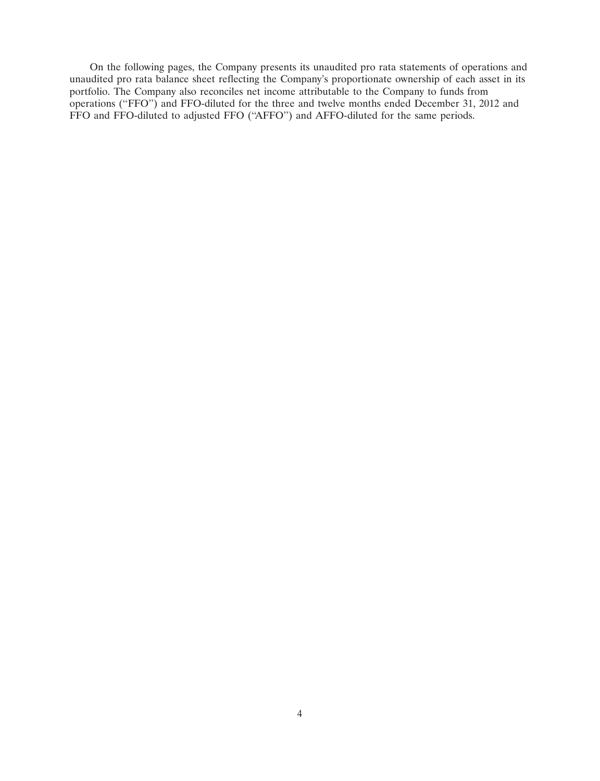On the following pages, the Company presents its unaudited pro rata statements of operations and unaudited pro rata balance sheet reflecting the Company's proportionate ownership of each asset in its portfolio. The Company also reconciles net income attributable to the Company to funds from operations (''FFO'') and FFO-diluted for the three and twelve months ended December 31, 2012 and FFO and FFO-diluted to adjusted FFO (''AFFO'') and AFFO-diluted for the same periods.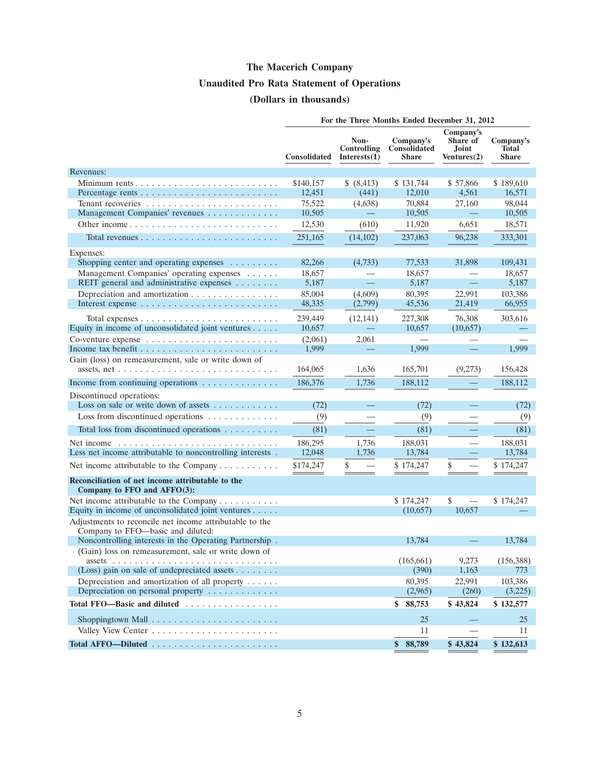# **The Macerich Company Unaudited Pro Rata Statement of Operations (Dollars in thousands)**

|                                                                                              |                     |                                        | For the Three Months Ended December 31, 2012     |                                               |                                           |
|----------------------------------------------------------------------------------------------|---------------------|----------------------------------------|--------------------------------------------------|-----------------------------------------------|-------------------------------------------|
|                                                                                              | <b>Consolidated</b> | Non-<br>Controlling<br>Interests $(1)$ | Company's<br><b>Consolidated</b><br><b>Share</b> | Company's<br>Share of<br>Joint<br>Ventures(2) | Company's<br><b>Total</b><br><b>Share</b> |
| Revenues:                                                                                    |                     |                                        |                                                  |                                               |                                           |
| Minimum rents                                                                                | \$140,157           | \$ (8,413)                             | \$131,744                                        | \$57,866                                      | \$189,610                                 |
| Percentage rents $\ldots \ldots \ldots \ldots \ldots \ldots \ldots \ldots$                   | 12,451              | (441)                                  | 12,010                                           | 4.561                                         | 16,571                                    |
|                                                                                              | 75,522              | (4,638)                                | 70,884                                           | 27,160                                        | 98,044                                    |
| Management Companies' revenues                                                               | 10,505              |                                        | 10,505                                           |                                               | 10,505                                    |
|                                                                                              | 12,530              | (610)                                  | 11,920                                           | 6,651                                         | 18,571                                    |
|                                                                                              | 251,165             | (14,102)                               | 237,063                                          | 96,238                                        | 333,301                                   |
| Expenses:                                                                                    |                     |                                        |                                                  |                                               |                                           |
| Shopping center and operating expenses                                                       | 82,266              | (4,733)                                | 77,533                                           | 31,898                                        | 109,431                                   |
| Management Companies' operating expenses                                                     | 18,657              |                                        | 18,657                                           |                                               | 18,657                                    |
| REIT general and administrative expenses                                                     | 5,187               | $\equiv$                               | 5,187                                            | $\equiv$                                      | 5,187                                     |
| Depreciation and amortization                                                                | 85,004<br>48,335    | (4,609)<br>(2,799)                     | 80,395<br>45,536                                 | 22,991<br>21,419                              | 103,386<br>66,955                         |
|                                                                                              |                     |                                        |                                                  |                                               |                                           |
| Equity in income of unconsolidated joint ventures                                            | 239,449<br>10,657   | (12, 141)                              | 227,308<br>10,657                                | 76,308<br>(10,657)                            | 303,616                                   |
|                                                                                              | (2,061)             | 2,061                                  |                                                  |                                               |                                           |
|                                                                                              | 1,999               | —                                      | 1,999                                            | $\qquad \qquad -$                             | 1,999                                     |
| Gain (loss) on remeasurement, sale or write down of                                          |                     |                                        |                                                  |                                               |                                           |
|                                                                                              | 164,065             | 1,636                                  | 165,701                                          | (9,273)                                       | 156,428                                   |
| Income from continuing operations                                                            | 186,376             | 1,736                                  | 188,112                                          |                                               | 188,112                                   |
| Discontinued operations:                                                                     |                     |                                        |                                                  |                                               |                                           |
| Loss on sale or write down of assets $\dots \dots \dots$                                     | (72)                |                                        | (72)                                             |                                               | (72)                                      |
| Loss from discontinued operations                                                            | (9)                 |                                        | (9)                                              |                                               | (9)                                       |
| Total loss from discontinued operations                                                      | (81)                |                                        | (81)                                             |                                               | (81)                                      |
| Net income $\ldots \ldots \ldots \ldots \ldots \ldots \ldots \ldots \ldots$                  | 186,295             | 1,736                                  | 188,031                                          |                                               | 188,031                                   |
| Less net income attributable to noncontrolling interests.                                    | 12,048              | 1,736                                  | 13,784                                           |                                               | 13,784                                    |
| Net income attributable to the Company                                                       | \$174,247           | \$                                     | \$174,247                                        | \$                                            | \$174,247                                 |
| Reconciliation of net income attributable to the<br>Company to FFO and AFFO(3):              |                     |                                        |                                                  |                                               |                                           |
| Net income attributable to the Company                                                       |                     |                                        | \$174,247                                        | \$                                            | \$174,247                                 |
| Equity in income of unconsolidated joint ventures                                            |                     |                                        | (10,657)                                         | 10,657                                        |                                           |
| Adjustments to reconcile net income attributable to the<br>Company to FFO-basic and diluted: |                     |                                        |                                                  |                                               |                                           |
| Noncontrolling interests in the Operating Partnership.                                       |                     |                                        | 13,784                                           |                                               | 13,784                                    |
| (Gain) loss on remeasurement, sale or write down of                                          |                     |                                        | (165, 661)                                       | 9,273                                         | (156, 388)                                |
| (Loss) gain on sale of undepreciated assets                                                  |                     |                                        | (390)                                            | 1,163                                         | 773                                       |
| Depreciation and amortization of all property $\dots$ .                                      |                     |                                        | 80,395                                           | 22,991                                        | 103,386                                   |
| Depreciation on personal property $\dots \dots \dots \dots$                                  |                     |                                        | (2,965)                                          | (260)                                         | (3,225)                                   |
| Total FFO—Basic and diluted                                                                  |                     |                                        | \$8,753                                          | \$43,824                                      | \$132,577                                 |
| Shoppingtown Mall $\ldots \ldots \ldots \ldots \ldots \ldots \ldots$                         |                     |                                        | 25                                               |                                               | 25                                        |
|                                                                                              |                     |                                        | 11                                               |                                               | 11                                        |
|                                                                                              |                     |                                        | \$88,789                                         | \$43,824                                      | \$132,613                                 |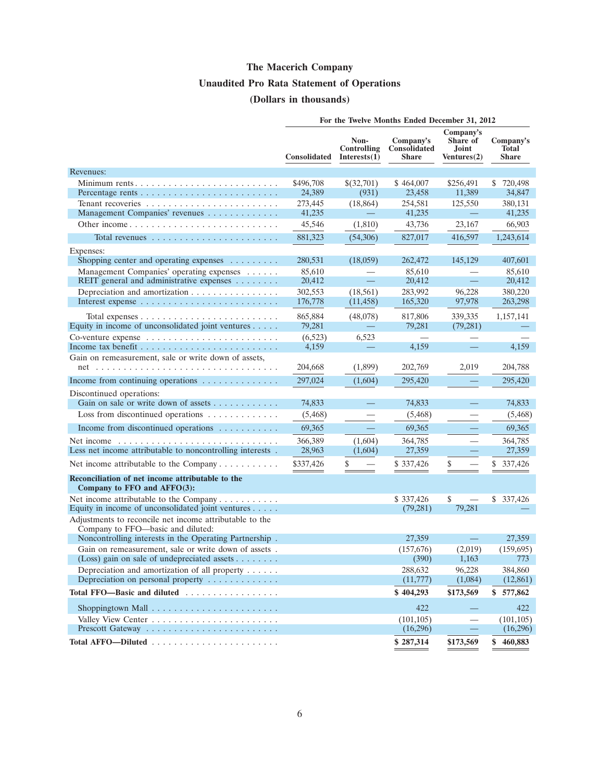# **The Macerich Company Unaudited Pro Rata Statement of Operations (Dollars in thousands)**

|                                                                                                              | For the Twelve Months Ended December 31, 2012 |                                            |                                                  |                                               |                                           |  |
|--------------------------------------------------------------------------------------------------------------|-----------------------------------------------|--------------------------------------------|--------------------------------------------------|-----------------------------------------------|-------------------------------------------|--|
|                                                                                                              | Consolidated                                  | Non-<br><b>Controlling</b><br>Interests(1) | Company's<br><b>Consolidated</b><br><b>Share</b> | Company's<br>Share of<br>Joint<br>Ventures(2) | Company's<br><b>Total</b><br><b>Share</b> |  |
| Revenues:                                                                                                    |                                               |                                            |                                                  |                                               |                                           |  |
| Minimum rents                                                                                                | \$496,708<br>24,389                           | \$(32,701)<br>(931)                        | \$464,007<br>23,458                              | \$256,491<br>11,389                           | \$720,498<br>34,847                       |  |
|                                                                                                              | 273,445                                       | (18, 864)                                  | 254,581                                          | 125,550                                       | 380,131                                   |  |
| Management Companies' revenues                                                                               | 41,235                                        |                                            | 41,235                                           |                                               | 41,235                                    |  |
|                                                                                                              | 45,546                                        | (1,810)                                    | 43,736                                           | 23,167                                        | 66,903                                    |  |
|                                                                                                              | 881,323                                       | (54,306)                                   | 827,017                                          | 416,597                                       | 1,243,614                                 |  |
| Expenses:                                                                                                    |                                               |                                            |                                                  |                                               |                                           |  |
| Shopping center and operating expenses                                                                       | 280,531                                       | (18,059)                                   | 262,472                                          | 145,129                                       | 407,601                                   |  |
| Management Companies' operating expenses<br>REIT general and administrative expenses                         | 85,610<br>20,412                              | 二                                          | 85,610<br>20,412                                 | $\equiv$                                      | 85,610<br>20,412                          |  |
| Depreciation and amortization                                                                                | 302,553                                       | (18, 561)                                  | 283,992                                          | 96,228                                        | 380,220                                   |  |
|                                                                                                              | 176,778                                       | (11, 458)                                  | 165,320                                          | 97,978                                        | 263,298                                   |  |
| Total expenses $\ldots \ldots \ldots \ldots \ldots \ldots \ldots \ldots$                                     | 865,884                                       | (48,078)                                   | 817,806                                          | 339.335                                       | 1,157,141                                 |  |
| Equity in income of unconsolidated joint ventures                                                            | 79,281                                        |                                            | 79,281                                           | (79, 281)                                     |                                           |  |
|                                                                                                              | (6,523)                                       | 6,523                                      |                                                  |                                               |                                           |  |
|                                                                                                              | 4,159                                         |                                            | 4,159                                            |                                               | 4,159                                     |  |
| Gain on remeasurement, sale or write down of assets,                                                         |                                               |                                            |                                                  |                                               |                                           |  |
|                                                                                                              | 204,668                                       | (1,899)                                    | 202,769                                          | 2,019                                         | 204,788                                   |  |
| Income from continuing operations                                                                            | 297,024                                       | (1,604)                                    | 295,420                                          |                                               | 295,420                                   |  |
| Discontinued operations:                                                                                     |                                               |                                            |                                                  |                                               |                                           |  |
| Gain on sale or write down of assets $\dots \dots \dots$                                                     | 74,833                                        |                                            | 74,833                                           | $\overline{\phantom{m}}$                      | 74,833                                    |  |
| Loss from discontinued operations                                                                            | (5, 468)                                      |                                            | (5,468)                                          |                                               | (5, 468)                                  |  |
| Income from discontinued operations                                                                          | 69,365                                        |                                            | 69,365                                           |                                               | 69,365                                    |  |
| Net income<br>Less net income attributable to noncontrolling interests.                                      | 366,389<br>28,963                             | (1,604)<br>(1,604)                         | 364,785<br>27,359                                |                                               | 364,785<br>27,359                         |  |
|                                                                                                              |                                               |                                            |                                                  |                                               |                                           |  |
| Net income attributable to the Company                                                                       | \$337,426                                     | \$                                         | \$337,426                                        | \$                                            | \$<br>337,426                             |  |
| Reconciliation of net income attributable to the<br>Company to FFO and AFFO(3):                              |                                               |                                            |                                                  |                                               |                                           |  |
| Net income attributable to the Company                                                                       |                                               |                                            | \$337,426                                        | \$                                            | \$337,426                                 |  |
| Equity in income of unconsolidated joint ventures                                                            |                                               |                                            | (79, 281)                                        | 79,281                                        |                                           |  |
| Adjustments to reconcile net income attributable to the<br>Company to FFO-basic and diluted:                 |                                               |                                            |                                                  |                                               |                                           |  |
| Noncontrolling interests in the Operating Partnership.                                                       |                                               |                                            | 27,359                                           | $\qquad \qquad \qquad =$                      | 27,359                                    |  |
| Gain on remeasurement, sale or write down of assets.                                                         |                                               |                                            | (157,676)                                        | (2,019)                                       | (159, 695)                                |  |
| (Loss) gain on sale of undepreciated assets $\dots \dots$                                                    |                                               |                                            | (390)                                            | 1,163                                         | 773                                       |  |
| Depreciation and amortization of all property<br>Depreciation on personal property $\dots \dots \dots \dots$ |                                               |                                            | 288,632                                          | 96,228                                        | 384,860                                   |  |
|                                                                                                              |                                               |                                            | (11, 777)                                        | (1,084)                                       | (12, 861)                                 |  |
| Total FFO-Basic and diluted                                                                                  |                                               |                                            | \$404,293                                        | \$173,569                                     | \$577,862                                 |  |
|                                                                                                              |                                               |                                            | 422                                              |                                               | 422                                       |  |
|                                                                                                              |                                               |                                            | (101, 105)                                       |                                               | (101, 105)                                |  |
|                                                                                                              |                                               |                                            | (16,296)                                         |                                               | (16,296)                                  |  |
|                                                                                                              |                                               |                                            | \$287,314                                        | \$173,569                                     | \$460,883                                 |  |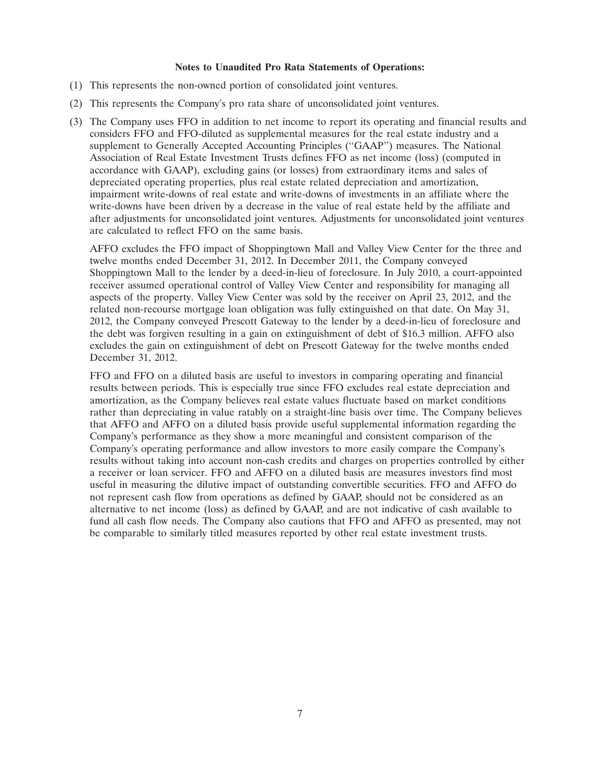#### **Notes to Unaudited Pro Rata Statements of Operations:**

- (1) This represents the non-owned portion of consolidated joint ventures.
- (2) This represents the Company's pro rata share of unconsolidated joint ventures.
- (3) The Company uses FFO in addition to net income to report its operating and financial results and considers FFO and FFO-diluted as supplemental measures for the real estate industry and a supplement to Generally Accepted Accounting Principles ("GAAP") measures. The National Association of Real Estate Investment Trusts defines FFO as net income (loss) (computed in accordance with GAAP), excluding gains (or losses) from extraordinary items and sales of depreciated operating properties, plus real estate related depreciation and amortization, impairment write-downs of real estate and write-downs of investments in an affiliate where the write-downs have been driven by a decrease in the value of real estate held by the affiliate and after adjustments for unconsolidated joint ventures. Adjustments for unconsolidated joint ventures are calculated to reflect FFO on the same basis.

AFFO excludes the FFO impact of Shoppingtown Mall and Valley View Center for the three and twelve months ended December 31, 2012. In December 2011, the Company conveyed Shoppingtown Mall to the lender by a deed-in-lieu of foreclosure. In July 2010, a court-appointed receiver assumed operational control of Valley View Center and responsibility for managing all aspects of the property. Valley View Center was sold by the receiver on April 23, 2012, and the related non-recourse mortgage loan obligation was fully extinguished on that date. On May 31, 2012, the Company conveyed Prescott Gateway to the lender by a deed-in-lieu of foreclosure and the debt was forgiven resulting in a gain on extinguishment of debt of \$16.3 million. AFFO also excludes the gain on extinguishment of debt on Prescott Gateway for the twelve months ended December 31, 2012.

FFO and FFO on a diluted basis are useful to investors in comparing operating and financial results between periods. This is especially true since FFO excludes real estate depreciation and amortization, as the Company believes real estate values fluctuate based on market conditions rather than depreciating in value ratably on a straight-line basis over time. The Company believes that AFFO and AFFO on a diluted basis provide useful supplemental information regarding the Company's performance as they show a more meaningful and consistent comparison of the Company's operating performance and allow investors to more easily compare the Company's results without taking into account non-cash credits and charges on properties controlled by either a receiver or loan servicer. FFO and AFFO on a diluted basis are measures investors find most useful in measuring the dilutive impact of outstanding convertible securities. FFO and AFFO do not represent cash flow from operations as defined by GAAP, should not be considered as an alternative to net income (loss) as defined by GAAP, and are not indicative of cash available to fund all cash flow needs. The Company also cautions that FFO and AFFO as presented, may not be comparable to similarly titled measures reported by other real estate investment trusts.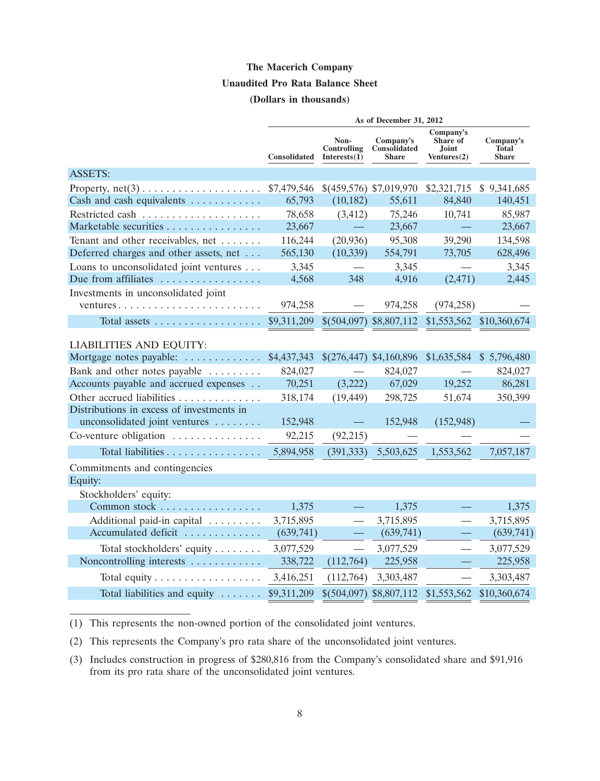#### **Unaudited Pro Rata Balance Sheet**

#### **(Dollars in thousands)**

|                                                              | As of December 31, 2012 |                                     |                                           |                                                      |                                           |  |
|--------------------------------------------------------------|-------------------------|-------------------------------------|-------------------------------------------|------------------------------------------------------|-------------------------------------------|--|
|                                                              | Consolidated            | Non-<br>Controlling<br>Interests(1) | Company's<br>Consolidated<br><b>Share</b> | Company's<br>Share of<br><b>Joint</b><br>Ventures(2) | Company's<br><b>Total</b><br><b>Share</b> |  |
| <b>ASSETS:</b>                                               |                         |                                     |                                           |                                                      |                                           |  |
| Property, $net(3) \ldots \ldots \ldots \ldots \ldots \ldots$ | \$7,479,546             |                                     | \$(459,576) \$7,019,970                   | \$2,321,715                                          | \$9,341,685                               |  |
| Cash and cash equivalents                                    | 65,793                  | (10, 182)                           | 55,611                                    | 84,840                                               | 140,451                                   |  |
|                                                              | 78,658                  | (3, 412)                            | 75,246                                    | 10,741                                               | 85,987                                    |  |
| Marketable securities                                        | 23,667                  |                                     | 23,667                                    |                                                      | 23,667                                    |  |
| Tenant and other receivables, net                            | 116,244                 | (20, 936)                           | 95,308                                    | 39,290                                               | 134,598                                   |  |
| Deferred charges and other assets, net                       | 565,130                 | (10, 339)                           | 554,791                                   | 73,705                                               | 628,496                                   |  |
| Loans to unconsolidated joint ventures                       | 3,345                   |                                     | 3,345                                     |                                                      | 3,345                                     |  |
| Due from affiliates                                          | 4,568                   | 348                                 | 4,916                                     | (2, 471)                                             | 2,445                                     |  |
| Investments in unconsolidated joint                          |                         |                                     |                                           |                                                      |                                           |  |
| ventures                                                     | 974,258                 |                                     | 974,258                                   | (974, 258)                                           |                                           |  |
| Total assets                                                 | \$9,311,209             |                                     | $$(504,097)$ \$8,807,112                  | \$1,553,562                                          | \$10,360,674                              |  |
| <b>LIABILITIES AND EQUITY:</b>                               |                         |                                     |                                           |                                                      |                                           |  |
| Mortgage notes payable:                                      | \$4,437,343             |                                     | \$(276,447) \$4,160,896                   | \$1,635,584                                          | \$5,796,480                               |  |
| Bank and other notes payable                                 | 824,027                 |                                     | 824,027                                   |                                                      | 824,027                                   |  |
| Accounts payable and accrued expenses                        | 70,251                  | (3,222)                             | 67,029                                    | 19,252                                               | 86,281                                    |  |
| Other accrued liabilities                                    | 318,174                 | (19, 449)                           | 298,725                                   | 51,674                                               | 350,399                                   |  |
| Distributions in excess of investments in                    |                         |                                     |                                           |                                                      |                                           |  |
| unconsolidated joint ventures                                | 152,948                 |                                     | 152,948                                   | (152, 948)                                           |                                           |  |
| Co-venture obligation                                        | 92,215                  | (92,215)                            |                                           |                                                      |                                           |  |
| Total liabilities                                            | 5,894,958               | (391, 333)                          | 5,503,625                                 | 1,553,562                                            | 7,057,187                                 |  |
| Commitments and contingencies                                |                         |                                     |                                           |                                                      |                                           |  |
| Equity:                                                      |                         |                                     |                                           |                                                      |                                           |  |
| Stockholders' equity:                                        |                         |                                     |                                           |                                                      |                                           |  |
| Common stock                                                 | 1,375                   |                                     | 1,375                                     |                                                      | 1,375                                     |  |
| Additional paid-in capital                                   | 3,715,895               |                                     | 3,715,895                                 |                                                      | 3,715,895                                 |  |
| Accumulated deficit                                          | (639,741)               |                                     | (639,741)                                 |                                                      | (639, 741)                                |  |
| Total stockholders' equity                                   | 3,077,529               |                                     | 3,077,529                                 |                                                      | 3,077,529                                 |  |
| Noncontrolling interests                                     | 338,722                 | (112,764)                           | 225,958                                   |                                                      | 225,958                                   |  |
| Total equity                                                 | 3,416,251               | (112,764)                           | 3,303,487                                 |                                                      | 3,303,487                                 |  |
| Total liabilities and equity                                 | \$9,311,209             |                                     | $$(504,097)$ \$8,807,112                  | \$1,553,562                                          | \$10,360,674                              |  |

(1) This represents the non-owned portion of the consolidated joint ventures.

(2) This represents the Company's pro rata share of the unconsolidated joint ventures.

(3) Includes construction in progress of \$280,816 from the Company's consolidated share and \$91,916 from its pro rata share of the unconsolidated joint ventures.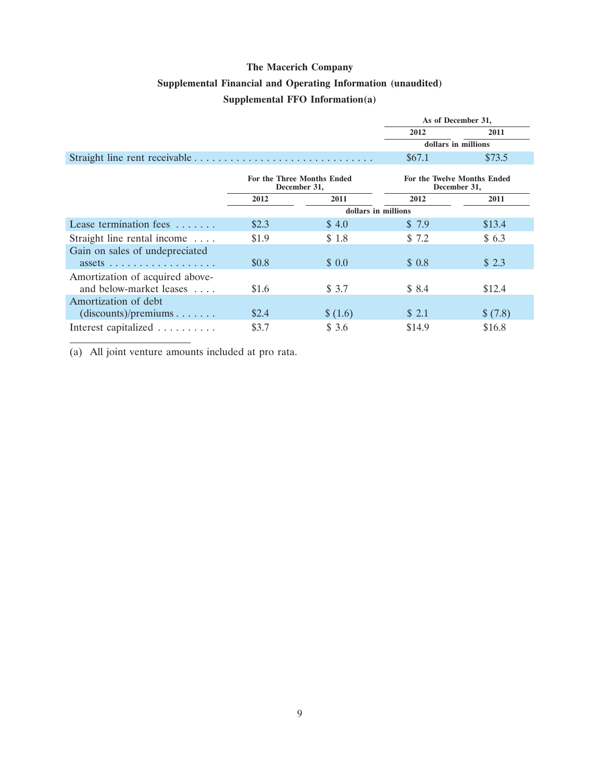# **Supplemental Financial and Operating Information (unaudited)**

### **Supplemental FFO Information(a)**

|                                                                                      |       |                     | As of December 31, |                                             |  |
|--------------------------------------------------------------------------------------|-------|---------------------|--------------------|---------------------------------------------|--|
|                                                                                      |       |                     | 2012               | 2011                                        |  |
|                                                                                      |       |                     |                    | dollars in millions                         |  |
|                                                                                      |       |                     | \$67.1             | \$73.5                                      |  |
| <b>For the Three Months Ended</b><br>December 31,                                    |       |                     |                    | For the Twelve Months Ended<br>December 31, |  |
|                                                                                      | 2012  | 2011                | 2012               | 2011                                        |  |
|                                                                                      |       | dollars in millions |                    |                                             |  |
| Lease termination fees                                                               | \$2.3 | \$4.0               | \$7.9              | \$13.4                                      |  |
| Straight line rental income                                                          | \$1.9 | \$1.8               | \$7.2              | \$6.3                                       |  |
| Gain on sales of undepreciated<br>$assets \ldots \ldots \ldots \ldots \ldots \ldots$ | \$0.8 | \$0.0               | \$0.8              | \$2.3                                       |  |
| Amortization of acquired above-<br>and below-market leases                           | \$1.6 | \$3.7               | \$8.4              | \$12.4                                      |  |
| Amortization of debt<br>(discounts)/preminus                                         | \$2.4 | \$ (1.6)            | \$ 2.1             | \$(7.8)                                     |  |
| Interest capitalized                                                                 | \$3.7 | \$3.6               | \$14.9             | \$16.8                                      |  |

(a) All joint venture amounts included at pro rata.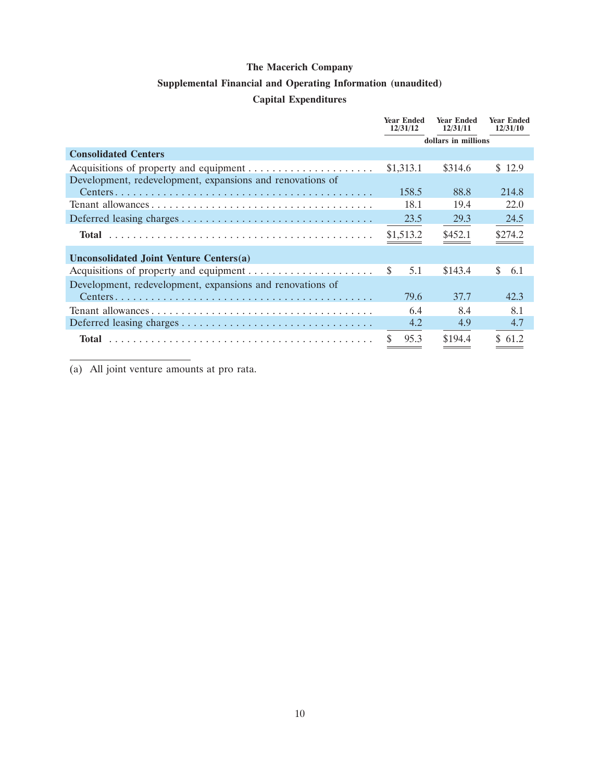### **Supplemental Financial and Operating Information (unaudited)**

### **Capital Expenditures**

|                                                           | <b>Year Ended</b><br>12/31/12 | <b>Year Ended</b><br>12/31/11 | <b>Year Ended</b><br>12/31/10 |  |  |
|-----------------------------------------------------------|-------------------------------|-------------------------------|-------------------------------|--|--|
|                                                           | dollars in millions           |                               |                               |  |  |
| <b>Consolidated Centers</b>                               |                               |                               |                               |  |  |
|                                                           | \$1,313.1                     | \$314.6                       | \$12.9                        |  |  |
| Development, redevelopment, expansions and renovations of |                               |                               |                               |  |  |
|                                                           | 158.5                         | 88.8                          | 214.8                         |  |  |
|                                                           | 18.1                          | 19.4                          | 22.0                          |  |  |
|                                                           | 23.5                          | 29.3                          | 24.5                          |  |  |
| Total                                                     | \$1,513.2                     | \$452.1                       | \$274.2                       |  |  |
| Unconsolidated Joint Venture Centers(a)                   |                               |                               |                               |  |  |
|                                                           | -S<br>5.1                     | \$143.4                       | S.<br>6.1                     |  |  |
| Development, redevelopment, expansions and renovations of |                               |                               |                               |  |  |
|                                                           | 79.6                          | 37.7                          | 42.3                          |  |  |
|                                                           | 6.4                           | 8.4                           | 8.1                           |  |  |
|                                                           | 4.2                           | 4.9                           | 4.7                           |  |  |
| <b>Total</b>                                              | 95.3                          | \$194.4                       | \$61.2                        |  |  |

(a) All joint venture amounts at pro rata.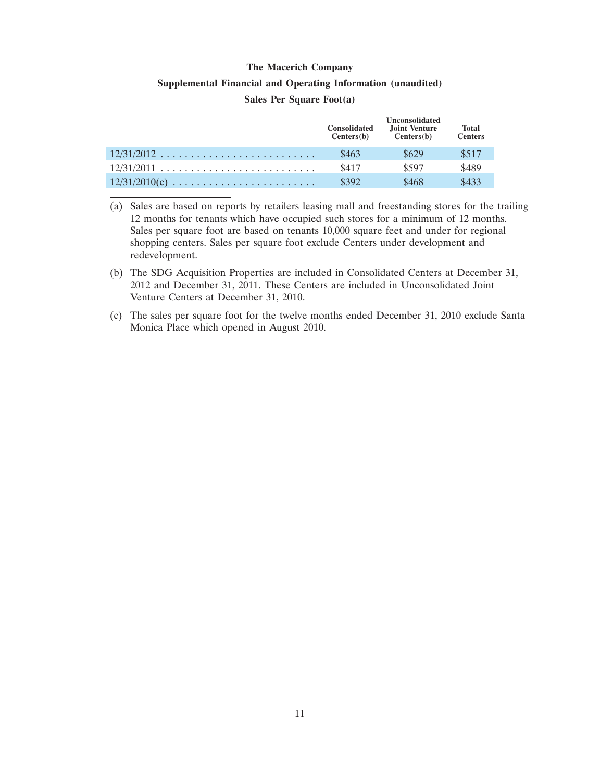# **Supplemental Financial and Operating Information (unaudited)**

#### **Sales Per Square Foot(a)**

|                 | <b>Consolidated</b><br>Centers(b) | <b>Unconsolidated</b><br>Joint Venture<br>Centers(b) | <b>Total</b><br><b>Centers</b> |
|-----------------|-----------------------------------|------------------------------------------------------|--------------------------------|
| $12/31/2012$    | \$463                             | \$629                                                | \$517                          |
| $12/31/2011$    | \$417                             | \$597                                                | \$489                          |
| $12/31/2010(c)$ | \$392                             | \$468                                                | \$433                          |

(a) Sales are based on reports by retailers leasing mall and freestanding stores for the trailing 12 months for tenants which have occupied such stores for a minimum of 12 months. Sales per square foot are based on tenants 10,000 square feet and under for regional shopping centers. Sales per square foot exclude Centers under development and redevelopment.

(b) The SDG Acquisition Properties are included in Consolidated Centers at December 31, 2012 and December 31, 2011. These Centers are included in Unconsolidated Joint Venture Centers at December 31, 2010.

(c) The sales per square foot for the twelve months ended December 31, 2010 exclude Santa Monica Place which opened in August 2010.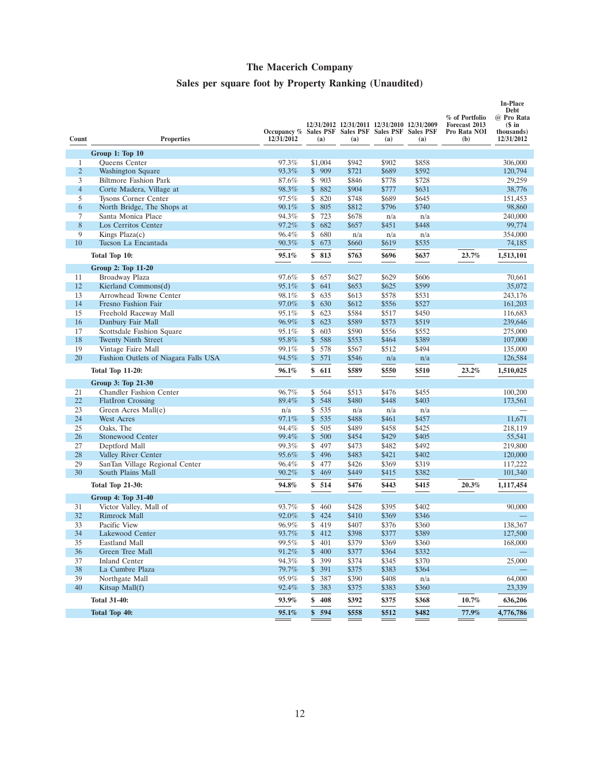### **Sales per square foot by Property Ranking (Unaudited)**

| Count          | <b>Properties</b>                                       | Occupancy % Sales PSF Sales PSF Sales PSF Sales PSF<br>12/31/2012 | (a)                             | 12/31/2012 12/31/2011 12/31/2010 12/31/2009<br>(a) | (a)            | (a)            | % of Portfolio<br>Forecast 2013<br>Pro Rata NOI<br>(b) | <b>In-Place</b><br><b>Debt</b><br>@ Pro Rata<br>$$$ in<br>thousands)<br>12/31/2012 |
|----------------|---------------------------------------------------------|-------------------------------------------------------------------|---------------------------------|----------------------------------------------------|----------------|----------------|--------------------------------------------------------|------------------------------------------------------------------------------------|
|                | Group 1: Top 10                                         |                                                                   |                                 |                                                    |                |                |                                                        |                                                                                    |
| $\mathbf{1}$   | Queens Center                                           | 97.3%                                                             | \$1,004                         | \$942                                              | \$902          | \$858          |                                                        | 306,000                                                                            |
| $\overline{2}$ | Washington Square                                       | 93.3%                                                             | \$909                           | \$721                                              | \$689          | \$592          |                                                        | 120,794                                                                            |
| 3              | <b>Biltmore Fashion Park</b>                            | 87.6%                                                             | $\overline{\mathsf{s}}$<br>903  | \$846                                              | \$778          | \$728          |                                                        | 29.259                                                                             |
| $\overline{4}$ | Corte Madera, Village at                                | 98.3%                                                             | 882<br>\$                       | \$904                                              | \$777          | \$631          |                                                        | 38,776                                                                             |
| 5              | <b>Tysons Corner Center</b>                             | 97.5%                                                             | \$<br>820                       | \$748                                              | \$689          | \$645          |                                                        | 151,453                                                                            |
| 6              | North Bridge, The Shops at                              | 90.1%                                                             | 805<br>\$                       | \$812                                              | \$796          | \$740          |                                                        | 98,860                                                                             |
| $\overline{7}$ | Santa Monica Place                                      | 94.3%                                                             | \$<br>723                       | \$678                                              | n/a            | n/a            |                                                        | 240,000                                                                            |
| 8              | Los Cerritos Center                                     | 97.2%                                                             | \$<br>682                       | \$657                                              | \$451          | \$448          |                                                        | 99,774                                                                             |
| 9              | Kings Plaza(c)                                          | 96.4%                                                             | \$680                           | n/a                                                | n/a            | n/a            |                                                        | 354,000                                                                            |
| 10             | Tucson La Encantada                                     | 90.3%                                                             | \$<br>673                       | \$660                                              | \$619          | \$535          |                                                        | 74,185                                                                             |
|                | Total Top 10:                                           | 95.1%                                                             | \$813                           | \$763                                              | \$696          | \$637          | 23.7%                                                  | 1,513,101                                                                          |
|                | Group 2: Top 11-20                                      |                                                                   |                                 |                                                    |                |                |                                                        |                                                                                    |
| 11             | Broadway Plaza                                          | 97.6%                                                             | \$657                           | \$627                                              | \$629          | \$606          |                                                        | 70.661                                                                             |
| 12             | Kierland Commons(d)                                     | 95.1%                                                             | \$<br>641                       | \$653                                              | \$625          | \$599          |                                                        | 35,072                                                                             |
| 13             | Arrowhead Towne Center                                  | 98.1%                                                             | \$<br>635                       | \$613                                              | \$578          | \$531          |                                                        | 243,176                                                                            |
| 14             | Fresno Fashion Fair                                     | 97.0%                                                             | 630<br>\$                       | \$612                                              | \$556          | \$527          |                                                        | 161,203                                                                            |
| 15             | Freehold Raceway Mall                                   | 95.1%<br>96.9%                                                    | \$<br>623<br>\$<br>623          | \$584                                              | \$517          | \$450          |                                                        | 116,683                                                                            |
| 16             | Danbury Fair Mall                                       | 95.1%                                                             |                                 | \$589                                              | \$573          | \$519          |                                                        | 239,646                                                                            |
| 17<br>18       | Scottsdale Fashion Square<br><b>Twenty Ninth Street</b> | 95.8%                                                             | \$603<br>\$<br>588              | \$590<br>\$553                                     | \$556<br>\$464 | \$552<br>\$389 |                                                        | 275,000<br>107,000                                                                 |
| 19             | Vintage Faire Mall                                      | 99.1%                                                             | \$<br>578                       | \$567                                              | \$512          | \$494          |                                                        | 135,000                                                                            |
| 20             | Fashion Outlets of Niagara Falls USA                    | 94.5%                                                             | \$<br>571                       | \$546                                              | n/a            | n/a            |                                                        | 126,584                                                                            |
|                | <b>Total Top 11-20:</b>                                 | 96.1%                                                             | \$<br>611                       | \$589                                              | \$550          | \$510          | 23.2%                                                  | 1,510,025                                                                          |
|                | Group 3: Top 21-30                                      |                                                                   |                                 |                                                    |                |                |                                                        |                                                                                    |
| 21             | Chandler Fashion Center                                 | 96.7%                                                             | \$564                           | \$513                                              | \$476          | \$455          |                                                        | 100,200                                                                            |
| 22             | <b>FlatIron Crossing</b>                                | 89.4%                                                             | \$548                           | \$480                                              | \$448          | \$403          |                                                        | 173,561                                                                            |
| 23             | Green Acres Mall(e)                                     | n/a                                                               | \$<br>535                       | n/a                                                | n/a            | n/a            |                                                        |                                                                                    |
| 24             | <b>West Acres</b>                                       | 97.1%                                                             | \$<br>535                       | \$488                                              | \$461          | \$457          |                                                        | 11,671                                                                             |
| 25<br>26       | Oaks, The                                               | 94.4%<br>99.4%                                                    | \$<br>505<br>\$<br>500          | \$489<br>\$454                                     | \$458<br>\$429 | \$425<br>\$405 |                                                        | 218,119<br>55,541                                                                  |
| 27             | Stonewood Center<br>Deptford Mall                       | 99.3%                                                             | 497<br>\$                       | \$473                                              | \$482          | \$492          |                                                        | 219,800                                                                            |
| 28             | Valley River Center                                     | 95.6%                                                             | 496<br>\$                       | \$483                                              | \$421          | \$402          |                                                        | 120,000                                                                            |
| 29             | SanTan Village Regional Center                          | 96.4%                                                             | $\overline{\mathcal{S}}$<br>477 | \$426                                              | \$369          | \$319          |                                                        | 117,222                                                                            |
| 30             | South Plains Mall                                       | 90.2%                                                             | \$<br>469                       | \$449                                              | \$415          | \$382          |                                                        | 101,340                                                                            |
|                | <b>Total Top 21-30:</b>                                 | 94.8%                                                             | \$<br>514                       | \$476                                              | \$443          | \$415          | 20.3%                                                  | 1,117,454                                                                          |
|                | Group 4: Top 31-40                                      |                                                                   |                                 |                                                    |                |                |                                                        |                                                                                    |
| 31             | Victor Valley, Mall of                                  | 93.7%                                                             | \$<br>460                       | \$428                                              | \$395          | \$402          |                                                        | 90,000                                                                             |
| 32             | <b>Rimrock Mall</b>                                     | 92.0%                                                             | \$ 424                          | \$410                                              | \$369          | \$346          |                                                        |                                                                                    |
| 33             | Pacific View                                            | 96.9%                                                             | \$419                           | \$407                                              | \$376          | \$360          |                                                        | 138,367                                                                            |
| 34             | Lakewood Center                                         | 93.7%                                                             | 412<br>\$                       | \$398                                              | \$377          | \$389          |                                                        | 127,500                                                                            |
| 35             | <b>Eastland Mall</b>                                    | 99.5%                                                             | $\overline{\mathcal{S}}$<br>401 | \$379                                              | \$369          | \$360          |                                                        | 168,000                                                                            |
| 36             | Green Tree Mall                                         | 91.2%                                                             | \$<br>400                       | \$377                                              | \$364          | \$332          |                                                        |                                                                                    |
| 37             | <b>Inland Center</b>                                    | 94.3%                                                             | $\overline{\mathbb{S}}$<br>399  | \$374                                              | \$345          | \$370          |                                                        | 25,000                                                                             |
| 38             | La Cumbre Plaza                                         | 79.7%                                                             | 391<br>\$                       | \$375                                              | \$383          | \$364          |                                                        |                                                                                    |
| 39             | Northgate Mall                                          | 95.9%                                                             | \$<br>387                       | \$390                                              | \$408          | n/a            |                                                        | 64,000                                                                             |
| 40             | Kitsap Mall(f)                                          | 92.4%                                                             | 383<br>\$                       | \$375                                              | \$383          | \$360          |                                                        | 23,339                                                                             |
|                | <b>Total 31-40:</b>                                     | 93.9%                                                             | \$<br>408                       | \$392                                              | \$375          | \$368          | 10.7%                                                  | 636,206                                                                            |
|                | <b>Total Top 40:</b>                                    | 95.1%                                                             | 594<br>$\mathbf{s}$             | \$558                                              | \$512          | \$482          | 77.9%                                                  | 4,776,786                                                                          |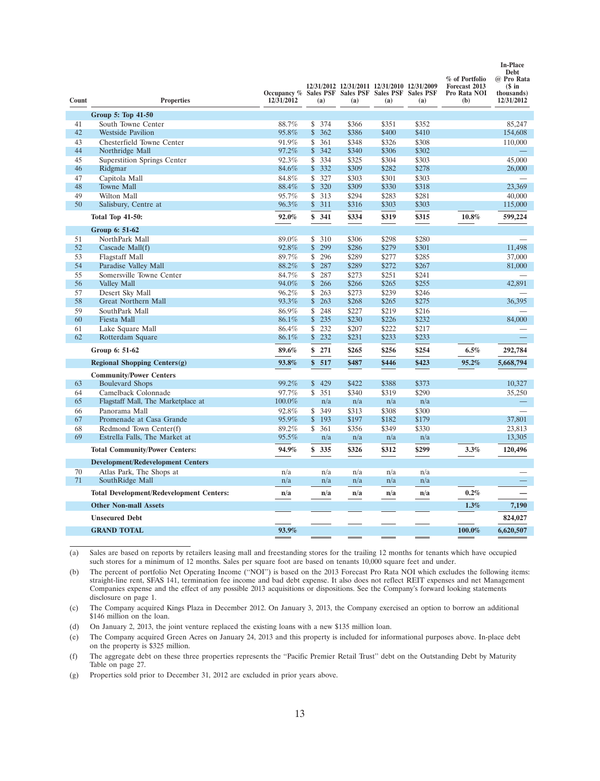| Count | <b>Properties</b>                               | Occupancy % Sales PSF Sales PSF Sales PSF Sales PSF<br>12/31/2012 | (a)       | 12/31/2012 12/31/2011 12/31/2010 12/31/2009<br>(a) | (a)   | (a)   | % of Portfolio<br>Forecast 2013<br>Pro Rata NOI<br>(b) | Debt<br>@ Pro Rata<br>$$$ in<br>thousands)<br>12/31/2012 |
|-------|-------------------------------------------------|-------------------------------------------------------------------|-----------|----------------------------------------------------|-------|-------|--------------------------------------------------------|----------------------------------------------------------|
|       | Group 5: Top 41-50                              |                                                                   |           |                                                    |       |       |                                                        |                                                          |
| 41    | South Towne Center                              | 88.7%                                                             | \$374     | \$366                                              | \$351 | \$352 |                                                        | 85,247                                                   |
| 42    | <b>Westside Pavilion</b>                        | 95.8%                                                             | \$<br>362 | \$386                                              | \$400 | \$410 |                                                        | 154,608                                                  |
| 43    | Chesterfield Towne Center                       | 91.9%                                                             | 361<br>\$ | \$348                                              | \$326 | \$308 |                                                        | 110,000                                                  |
| 44    | Northridge Mall                                 | 97.2%                                                             | \$<br>342 | \$340                                              | \$306 | \$302 |                                                        |                                                          |
| 45    | <b>Superstition Springs Center</b>              | 92.3%                                                             | \$334     | \$325                                              | \$304 | \$303 |                                                        | 45,000                                                   |
| 46    | Ridgmar                                         | 84.6%                                                             | 332<br>\$ | \$309                                              | \$282 | \$278 |                                                        | 26,000                                                   |
| 47    | Capitola Mall                                   | 84.8%                                                             | \$327     | \$303                                              | \$301 | \$303 |                                                        |                                                          |
| 48    | <b>Towne Mall</b>                               | 88.4%                                                             | \$320     | \$309                                              | \$330 | \$318 |                                                        | 23,369                                                   |
| 49    | Wilton Mall                                     | 95.7%                                                             | \$<br>313 | \$294                                              | \$283 | \$281 |                                                        | 40,000                                                   |
| 50    | Salisbury, Centre at                            | 96.3%                                                             | \$311     | \$316                                              | \$303 | \$303 |                                                        | 115,000                                                  |
|       | <b>Total Top 41-50:</b>                         | 92.0%                                                             | \$341     | \$334                                              | \$319 | \$315 | 10.8%                                                  | 599,224                                                  |
|       | Group 6: 51-62                                  |                                                                   |           |                                                    |       |       |                                                        |                                                          |
| 51    | NorthPark Mall                                  | 89.0%                                                             | \$310     | \$306                                              | \$298 | \$280 |                                                        |                                                          |
| 52    | Cascade Mall(f)                                 | 92.8%                                                             | \$299     | \$286                                              | \$279 | \$301 |                                                        | 11,498                                                   |
| 53    | <b>Flagstaff Mall</b>                           | 89.7%                                                             | \$<br>296 | \$289                                              | \$277 | \$285 |                                                        | 37,000                                                   |
| 54    | Paradise Valley Mall                            | 88.2%                                                             | \$287     | \$289                                              | \$272 | \$267 |                                                        | 81,000                                                   |
| 55    | Somersville Towne Center                        | 84.7%                                                             | \$<br>287 | \$273                                              | \$251 | \$241 |                                                        |                                                          |
| 56    | Valley Mall                                     | 94.0%                                                             | \$<br>266 | \$266                                              | \$265 | \$255 |                                                        | 42,891                                                   |
| 57    | Desert Sky Mall                                 | 96.2%                                                             | \$<br>263 | \$273                                              | \$239 | \$246 |                                                        |                                                          |
| 58    | <b>Great Northern Mall</b>                      | 93.3%                                                             | \$<br>263 | \$268                                              | \$265 | \$275 |                                                        | 36,395                                                   |
| 59    | SouthPark Mall                                  | 86.9%                                                             | 248<br>\$ | \$227                                              | \$219 | \$216 |                                                        |                                                          |
| 60    | Fiesta Mall                                     | 86.1%                                                             | \$<br>235 | \$230                                              | \$226 | \$232 |                                                        | 84,000                                                   |
| 61    | Lake Square Mall                                | 86.4%                                                             | 232<br>\$ | \$207                                              | \$222 | \$217 |                                                        |                                                          |
| 62    | Rotterdam Square                                | 86.1%                                                             | \$<br>232 | \$231                                              | \$233 | \$233 |                                                        |                                                          |
|       | Group 6: 51-62                                  | 89.6%                                                             | \$<br>271 | \$265                                              | \$256 | \$254 | 6.5%                                                   | 292,784                                                  |
|       | <b>Regional Shopping Centers(g)</b>             | 93.8%                                                             | 517<br>\$ | \$487                                              | \$446 | \$423 | 95.2%                                                  | 5,668,794                                                |
|       | <b>Community/Power Centers</b>                  |                                                                   |           |                                                    |       |       |                                                        |                                                          |
| 63    | <b>Boulevard Shops</b>                          | 99.2%                                                             | \$429     | \$422                                              | \$388 | \$373 |                                                        | 10,327                                                   |
| 64    | Camelback Colonnade                             | 97.7%                                                             | \$<br>351 | \$340                                              | \$319 | \$290 |                                                        | 35,250                                                   |
| 65    | Flagstaff Mall, The Marketplace at              | $100.0\%$                                                         | n/a       | n/a                                                | n/a   | n/a   |                                                        |                                                          |
| 66    | Panorama Mall                                   | 92.8%                                                             | \$349     | \$313                                              | \$308 | \$300 |                                                        |                                                          |
| 67    | Promenade at Casa Grande                        | 95.9%                                                             | \$<br>193 | \$197                                              | \$182 | \$179 |                                                        | 37,801                                                   |
| 68    | Redmond Town Center(f)                          | 89.2%                                                             | \$<br>361 | \$356                                              | \$349 | \$330 |                                                        | 23,813                                                   |
| 69    | Estrella Falls, The Market at                   | 95.5%                                                             | n/a       | n/a                                                | n/a   | n/a   |                                                        | 13,305                                                   |
|       | <b>Total Community/Power Centers:</b>           | 94.9%                                                             | \$<br>335 | \$326                                              | \$312 | \$299 | 3.3%                                                   | 120,496                                                  |
|       | <b>Development/Redevelopment Centers</b>        |                                                                   |           |                                                    |       |       |                                                        |                                                          |
| 70    | Atlas Park, The Shops at                        | n/a                                                               | n/a       | n/a                                                | n/a   | n/a   |                                                        |                                                          |
| 71    | SouthRidge Mall                                 | n/a                                                               | n/a       | n/a                                                | n/a   | n/a   |                                                        |                                                          |
|       | <b>Total Development/Redevelopment Centers:</b> | n/a                                                               | n/a       | n/a                                                | n/a   | n/a   | 0.2%                                                   |                                                          |
|       | <b>Other Non-mall Assets</b>                    |                                                                   |           |                                                    |       |       | 1.3%                                                   | 7,190                                                    |
|       | <b>Unsecured Debt</b>                           |                                                                   |           |                                                    |       |       |                                                        | 824,027                                                  |
|       | <b>GRAND TOTAL</b>                              | 93.9%                                                             |           |                                                    |       |       | 100.0%                                                 | 6,620,507                                                |
|       |                                                 |                                                                   |           |                                                    |       |       |                                                        |                                                          |

**In-Place**

(a) Sales are based on reports by retailers leasing mall and freestanding stores for the trailing 12 months for tenants which have occupied such stores for a minimum of 12 months. Sales per square foot are based on tenants 10,000 square feet and under.

(b) The percent of portfolio Net Operating Income (''NOI'') is based on the 2013 Forecast Pro Rata NOI which excludes the following items: straight-line rent, SFAS 141, termination fee income and bad debt expense. It also does not reflect REIT expenses and net Management Companies expense and the effect of any possible 2013 acquisitions or dispositions. See the Company's forward looking statements disclosure on page 1.

(c) The Company acquired Kings Plaza in December 2012. On January 3, 2013, the Company exercised an option to borrow an additional \$146 million on the loan.

(d) On January 2, 2013, the joint venture replaced the existing loans with a new \$135 million loan.

(e) The Company acquired Green Acres on January 24, 2013 and this property is included for informational purposes above. In-place debt on the property is \$325 million.

(f) The aggregate debt on these three properties represents the ''Pacific Premier Retail Trust'' debt on the Outstanding Debt by Maturity Table on page 27.

(g) Properties sold prior to December 31, 2012 are excluded in prior years above.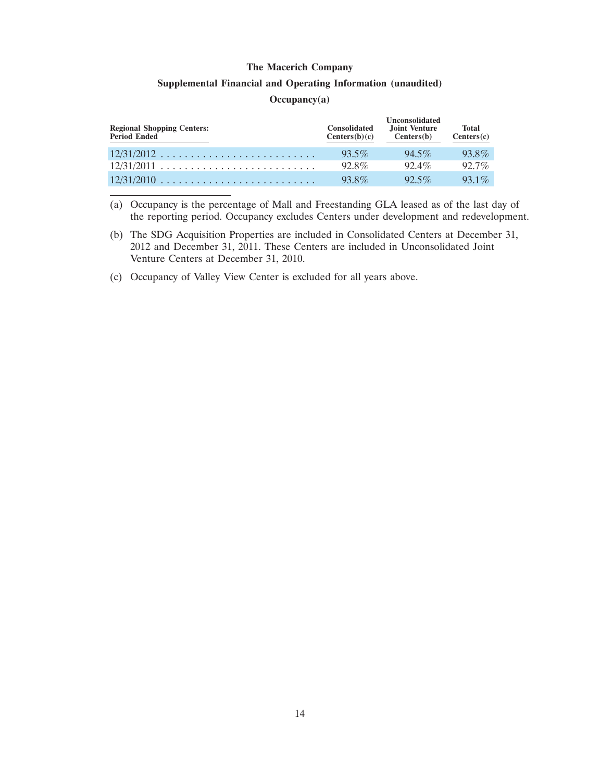#### **Supplemental Financial and Operating Information (unaudited)**

#### **Occupancy(a)**

| <b>Regional Shopping Centers:</b><br>Period Ended | <b>Consolidated</b><br>Centers(b)(c) | <b>Unconsolidated</b><br>Joint Venture<br>Centers(b) | <b>Total</b><br>Centers(c) |
|---------------------------------------------------|--------------------------------------|------------------------------------------------------|----------------------------|
| $12/31/2012$                                      | $93.5\%$                             | $94.5\%$                                             | 93.8%                      |
|                                                   | $92.8\%$                             | $92.4\%$                                             | $92.7\%$                   |
| $12/31/2010$                                      | 93.8%                                | $92.5\%$                                             | $931\%$                    |

(a) Occupancy is the percentage of Mall and Freestanding GLA leased as of the last day of the reporting period. Occupancy excludes Centers under development and redevelopment.

- (b) The SDG Acquisition Properties are included in Consolidated Centers at December 31, 2012 and December 31, 2011. These Centers are included in Unconsolidated Joint Venture Centers at December 31, 2010.
- (c) Occupancy of Valley View Center is excluded for all years above.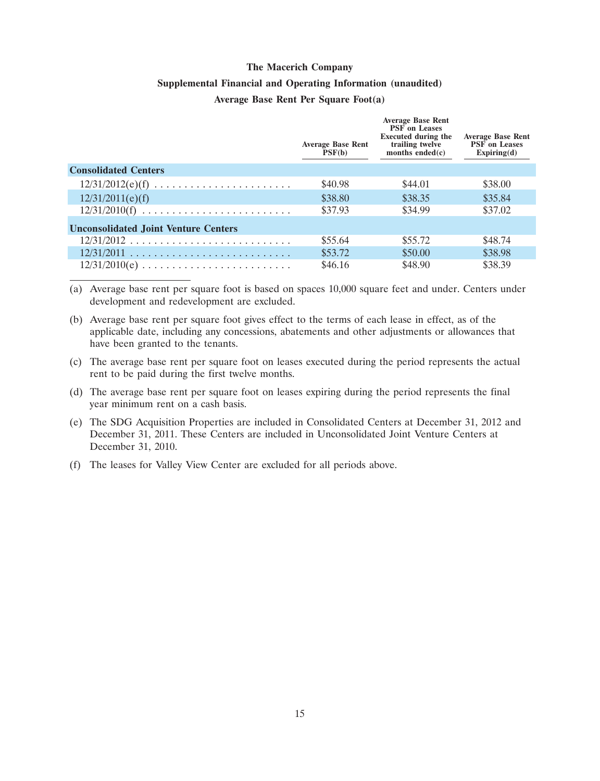#### **Supplemental Financial and Operating Information (unaudited)**

#### **Average Base Rent Per Square Foot(a)**

|                                                                     | <b>Average Base Rent</b><br>PSF(b) | <b>Average Base Rent</b><br><b>PSF</b> on Leases<br><b>Executed during the</b><br>trailing twelve<br>months ended $(c)$ | <b>Average Base Rent</b><br><b>PSF</b> on Leases<br>Expiring(d) |
|---------------------------------------------------------------------|------------------------------------|-------------------------------------------------------------------------------------------------------------------------|-----------------------------------------------------------------|
| <b>Consolidated Centers</b>                                         |                                    |                                                                                                                         |                                                                 |
| $12/31/2012(e)(f) \ldots \ldots \ldots \ldots \ldots \ldots \ldots$ | \$40.98                            | \$44.01                                                                                                                 | \$38.00                                                         |
| 12/31/2011(e)(f)                                                    | \$38.80                            | \$38.35                                                                                                                 | \$35.84                                                         |
|                                                                     | \$37.93                            | \$34.99                                                                                                                 | \$37.02                                                         |
| <b>Unconsolidated Joint Venture Centers</b>                         |                                    |                                                                                                                         |                                                                 |
| $12/31/2012$                                                        | \$55.64                            | \$55.72                                                                                                                 | \$48.74                                                         |
| $12/31/2011$                                                        | \$53.72                            | \$50.00                                                                                                                 | \$38.98                                                         |
|                                                                     | \$46.16                            | \$48.90                                                                                                                 | \$38.39                                                         |

(a) Average base rent per square foot is based on spaces 10,000 square feet and under. Centers under development and redevelopment are excluded.

- (b) Average base rent per square foot gives effect to the terms of each lease in effect, as of the applicable date, including any concessions, abatements and other adjustments or allowances that have been granted to the tenants.
- (c) The average base rent per square foot on leases executed during the period represents the actual rent to be paid during the first twelve months.
- (d) The average base rent per square foot on leases expiring during the period represents the final year minimum rent on a cash basis.
- (e) The SDG Acquisition Properties are included in Consolidated Centers at December 31, 2012 and December 31, 2011. These Centers are included in Unconsolidated Joint Venture Centers at December 31, 2010.
- (f) The leases for Valley View Center are excluded for all periods above.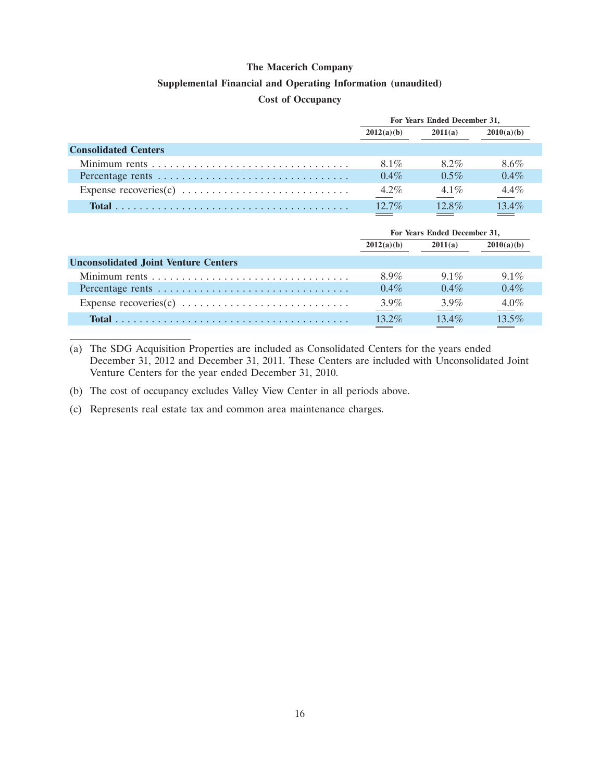#### **Supplemental Financial and Operating Information (unaudited)**

#### **Cost of Occupancy**

|                             | For Years Ended December 31, |          |            |  |
|-----------------------------|------------------------------|----------|------------|--|
|                             | 2012(a)(b)                   | 2011(a)  | 2010(a)(b) |  |
| <b>Consolidated Centers</b> |                              |          |            |  |
|                             | 8.1%                         | 8.2%     | 8.6%       |  |
|                             | $0.4\%$                      | $0.5\%$  | $0.4\%$    |  |
|                             | $4.2\%$                      | $4.1\%$  | $4.4\%$    |  |
|                             | $12.7\%$                     | $12.8\%$ | $13.4\%$   |  |

|                                             | For Years Ended December 31, |          |            |  |
|---------------------------------------------|------------------------------|----------|------------|--|
|                                             | 2012(a)(b)                   | 2011(a)  | 2010(a)(b) |  |
| <b>Unconsolidated Joint Venture Centers</b> |                              |          |            |  |
|                                             | 8.9%                         | $9.1\%$  | $9.1\%$    |  |
|                                             | $0.4\%$                      | $0.4\%$  | $0.4\%$    |  |
|                                             | $3.9\%$                      | $3.9\%$  | $4.0\%$    |  |
|                                             | $13.2\%$                     | $13.4\%$ | 13.5%      |  |

(a) The SDG Acquisition Properties are included as Consolidated Centers for the years ended December 31, 2012 and December 31, 2011. These Centers are included with Unconsolidated Joint Venture Centers for the year ended December 31, 2010.

(b) The cost of occupancy excludes Valley View Center in all periods above.

(c) Represents real estate tax and common area maintenance charges.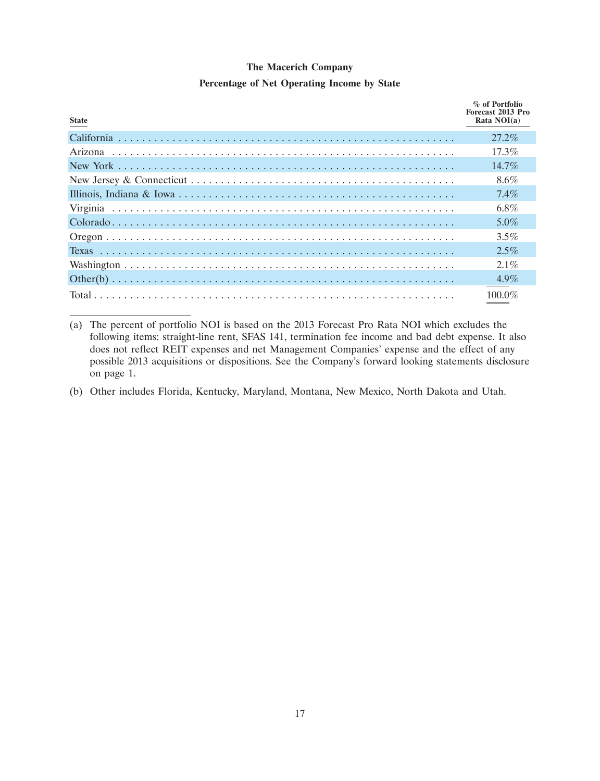### **The Macerich Company Percentage of Net Operating Income by State**

| <b>State</b> | % of Portfolio<br>Forecast 2013 Pro<br>Rata $NOI(a)$ |
|--------------|------------------------------------------------------|
|              | $27.2\%$                                             |
|              | 17.3%                                                |
|              | $14.7\%$                                             |
|              | $8.6\%$                                              |
|              | $7.4\%$                                              |
|              | 6.8%                                                 |
|              | $5.0\%$                                              |
|              | $3.5\%$                                              |
|              | $2.5\%$                                              |
|              | $2.1\%$                                              |
|              | $4.9\%$                                              |
|              | 100.0%                                               |

(a) The percent of portfolio NOI is based on the 2013 Forecast Pro Rata NOI which excludes the following items: straight-line rent, SFAS 141, termination fee income and bad debt expense. It also does not reflect REIT expenses and net Management Companies' expense and the effect of any possible 2013 acquisitions or dispositions. See the Company's forward looking statements disclosure on page 1.

(b) Other includes Florida, Kentucky, Maryland, Montana, New Mexico, North Dakota and Utah.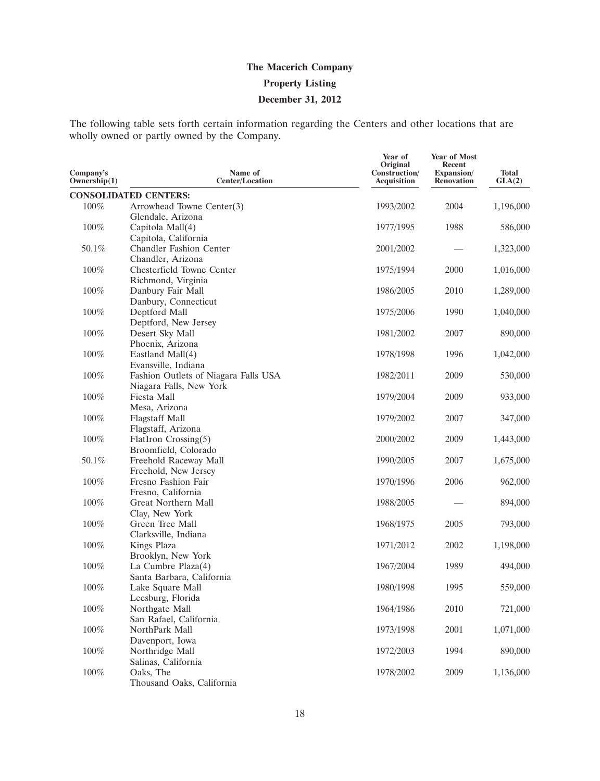The following table sets forth certain information regarding the Centers and other locations that are wholly owned or partly owned by the Company.

| Company's<br>Ownership $(1)$ | Name of<br><b>Center/Location</b>                               | Year of<br>Original<br>Construction/<br>Acquisition | Year of Most<br>Recent<br>Expansion/<br><b>Renovation</b> | <b>Total</b><br>GLA(2) |
|------------------------------|-----------------------------------------------------------------|-----------------------------------------------------|-----------------------------------------------------------|------------------------|
|                              | <b>CONSOLIDATED CENTERS:</b>                                    |                                                     |                                                           |                        |
| 100%                         | Arrowhead Towne Center(3)<br>Glendale, Arizona                  | 1993/2002                                           | 2004                                                      | 1,196,000              |
| 100%                         | Capitola Mall(4)<br>Capitola, California                        | 1977/1995                                           | 1988                                                      | 586,000                |
| 50.1%                        | <b>Chandler Fashion Center</b><br>Chandler, Arizona             | 2001/2002                                           |                                                           | 1,323,000              |
| $100\%$                      | Chesterfield Towne Center<br>Richmond, Virginia                 | 1975/1994                                           | 2000                                                      | 1,016,000              |
| 100%                         | Danbury Fair Mall<br>Danbury, Connecticut                       | 1986/2005                                           | 2010                                                      | 1,289,000              |
| 100%                         | Deptford Mall<br>Deptford, New Jersey                           | 1975/2006                                           | 1990                                                      | 1,040,000              |
| 100%                         | Desert Sky Mall<br>Phoenix, Arizona                             | 1981/2002                                           | 2007                                                      | 890,000                |
| $100\%$                      | Eastland Mall(4)<br>Evansville, Indiana                         | 1978/1998                                           | 1996                                                      | 1,042,000              |
| 100%                         | Fashion Outlets of Niagara Falls USA<br>Niagara Falls, New York | 1982/2011                                           | 2009                                                      | 530,000                |
| 100%                         | Fiesta Mall<br>Mesa, Arizona                                    | 1979/2004                                           | 2009                                                      | 933,000                |
| 100%                         | <b>Flagstaff Mall</b><br>Flagstaff, Arizona                     | 1979/2002                                           | 2007                                                      | 347,000                |
| $100\%$                      | FlatIron Crossing(5)<br>Broomfield, Colorado                    | 2000/2002                                           | 2009                                                      | 1,443,000              |
| 50.1%                        | Freehold Raceway Mall<br>Freehold, New Jersey                   | 1990/2005                                           | 2007                                                      | 1,675,000              |
| 100%                         | Fresno Fashion Fair<br>Fresno, California                       | 1970/1996                                           | 2006                                                      | 962,000                |
| 100%                         | Great Northern Mall<br>Clay, New York                           | 1988/2005                                           |                                                           | 894,000                |
| $100\%$                      | Green Tree Mall<br>Clarksville, Indiana                         | 1968/1975                                           | 2005                                                      | 793,000                |
| 100%                         | Kings Plaza<br>Brooklyn, New York                               | 1971/2012                                           | 2002                                                      | 1,198,000              |
| $100\%$                      | La Cumbre Plaza(4)<br>Santa Barbara, California                 | 1967/2004                                           | 1989                                                      | 494,000                |
| 100%                         | Lake Square Mall<br>Leesburg, Florida                           | 1980/1998                                           | 1995                                                      | 559,000                |
| $100\%$                      | Northgate Mall<br>San Rafael, California                        | 1964/1986                                           | 2010                                                      | 721,000                |
| $100\%$                      | NorthPark Mall<br>Davenport, Iowa                               | 1973/1998                                           | 2001                                                      | 1,071,000              |
| $100\%$                      | Northridge Mall<br>Salinas, California                          | 1972/2003                                           | 1994                                                      | 890,000                |
| $100\%$                      | Oaks, The<br>Thousand Oaks, California                          | 1978/2002                                           | 2009                                                      | 1,136,000              |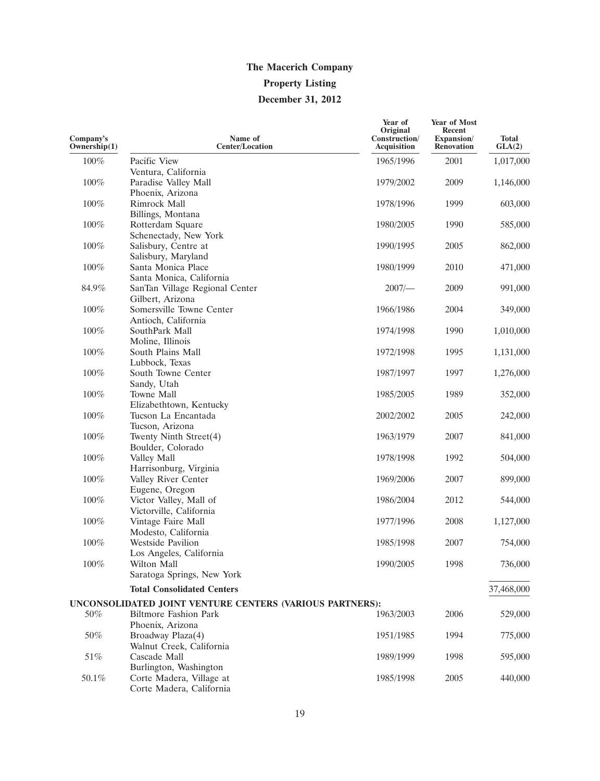| Company's<br>Ownership(1) | Name of<br><b>Center/Location</b>                        | Year of<br>Original<br>Construction/<br><b>Acquisition</b> | Year of Most<br>Recent<br>Expansion/<br><b>Renovation</b> | Total<br>GLA(2) |
|---------------------------|----------------------------------------------------------|------------------------------------------------------------|-----------------------------------------------------------|-----------------|
| 100%                      | Pacific View                                             | 1965/1996                                                  | 2001                                                      | 1,017,000       |
|                           | Ventura, California                                      |                                                            |                                                           |                 |
| 100%                      | Paradise Valley Mall                                     | 1979/2002                                                  | 2009                                                      | 1,146,000       |
|                           | Phoenix, Arizona                                         |                                                            |                                                           |                 |
| $100\%$                   | Rimrock Mall                                             | 1978/1996                                                  | 1999                                                      | 603,000         |
|                           | Billings, Montana                                        |                                                            |                                                           |                 |
| 100%                      | Rotterdam Square                                         | 1980/2005                                                  | 1990                                                      | 585,000         |
|                           | Schenectady, New York                                    |                                                            |                                                           |                 |
| 100%                      | Salisbury, Centre at                                     | 1990/1995                                                  | 2005                                                      | 862,000         |
|                           | Salisbury, Maryland                                      |                                                            |                                                           |                 |
| 100%                      | Santa Monica Place                                       | 1980/1999                                                  | 2010                                                      | 471,000         |
|                           | Santa Monica, California                                 |                                                            |                                                           |                 |
| 84.9%                     | SanTan Village Regional Center                           | 2007/                                                      | 2009                                                      | 991,000         |
| 100%                      | Gilbert, Arizona<br>Somersville Towne Center             | 1966/1986                                                  | 2004                                                      | 349,000         |
|                           | Antioch, California                                      |                                                            |                                                           |                 |
| 100%                      | SouthPark Mall                                           | 1974/1998                                                  | 1990                                                      | 1,010,000       |
|                           | Moline, Illinois                                         |                                                            |                                                           |                 |
| 100%                      | South Plains Mall                                        | 1972/1998                                                  | 1995                                                      | 1,131,000       |
|                           | Lubbock, Texas                                           |                                                            |                                                           |                 |
| 100%                      | South Towne Center                                       | 1987/1997                                                  | 1997                                                      | 1,276,000       |
|                           | Sandy, Utah                                              |                                                            |                                                           |                 |
| 100%                      | Towne Mall                                               | 1985/2005                                                  | 1989                                                      | 352,000         |
|                           | Elizabethtown, Kentucky                                  |                                                            |                                                           |                 |
| 100%                      | Tucson La Encantada                                      | 2002/2002                                                  | 2005                                                      | 242,000         |
|                           | Tucson, Arizona                                          |                                                            |                                                           |                 |
| 100%                      | Twenty Ninth Street(4)                                   | 1963/1979                                                  | 2007                                                      | 841,000         |
|                           | Boulder, Colorado                                        |                                                            |                                                           |                 |
| 100%                      | Valley Mall                                              | 1978/1998                                                  | 1992                                                      | 504,000         |
|                           | Harrisonburg, Virginia                                   |                                                            |                                                           |                 |
| 100%                      | Valley River Center                                      | 1969/2006                                                  | 2007                                                      | 899,000         |
|                           | Eugene, Oregon                                           |                                                            |                                                           |                 |
| 100%                      | Victor Valley, Mall of                                   | 1986/2004                                                  | 2012                                                      | 544,000         |
|                           | Victorville, California                                  |                                                            |                                                           |                 |
| 100%                      | Vintage Faire Mall<br>Modesto, California                | 1977/1996                                                  | 2008                                                      | 1,127,000       |
| 100%                      | <b>Westside Pavilion</b>                                 | 1985/1998                                                  | 2007                                                      | 754,000         |
|                           | Los Angeles, California                                  |                                                            |                                                           |                 |
| 100%                      | Wilton Mall                                              | 1990/2005                                                  | 1998                                                      | 736,000         |
|                           | Saratoga Springs, New York                               |                                                            |                                                           |                 |
|                           |                                                          |                                                            |                                                           |                 |
|                           | <b>Total Consolidated Centers</b>                        |                                                            |                                                           | 37,468,000      |
|                           | UNCONSOLIDATED JOINT VENTURE CENTERS (VARIOUS PARTNERS): |                                                            |                                                           |                 |
| 50%                       | <b>Biltmore Fashion Park</b>                             | 1963/2003                                                  | 2006                                                      | 529,000         |
|                           | Phoenix, Arizona                                         |                                                            |                                                           |                 |
| 50%                       | Broadway Plaza(4)                                        | 1951/1985                                                  | 1994                                                      | 775,000         |
|                           | Walnut Creek, California<br>Cascade Mall                 |                                                            |                                                           |                 |
| $51\%$                    |                                                          | 1989/1999                                                  | 1998                                                      | 595,000         |
| 50.1%                     | Burlington, Washington<br>Corte Madera, Village at       | 1985/1998                                                  | 2005                                                      | 440,000         |
|                           | Corte Madera, California                                 |                                                            |                                                           |                 |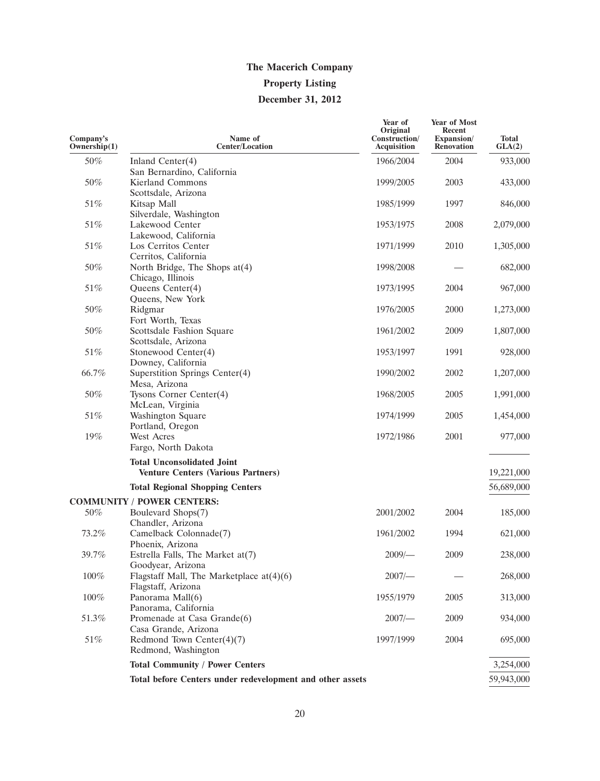| Company's<br>Ownership(1) | Name of<br><b>Center/Location</b>                                              | Year of<br>Original<br>Construction/<br>Acquisition | Year of Most<br>Recent<br>Expansion/<br><b>Renovation</b> | <b>Total</b><br>GLA(2) |
|---------------------------|--------------------------------------------------------------------------------|-----------------------------------------------------|-----------------------------------------------------------|------------------------|
| 50%                       | Inland Center $(4)$                                                            | 1966/2004                                           | 2004                                                      | 933,000                |
| 50%                       | San Bernardino, California<br><b>Kierland Commons</b><br>Scottsdale, Arizona   | 1999/2005                                           | 2003                                                      | 433,000                |
| 51%                       | Kitsap Mall<br>Silverdale, Washington                                          | 1985/1999                                           | 1997                                                      | 846,000                |
| 51%                       | Lakewood Center<br>Lakewood, California                                        | 1953/1975                                           | 2008                                                      | 2,079,000              |
| 51%                       | Los Cerritos Center<br>Cerritos, California                                    | 1971/1999                                           | 2010                                                      | 1,305,000              |
| 50%                       | North Bridge, The Shops at(4)<br>Chicago, Illinois                             | 1998/2008                                           |                                                           | 682,000                |
| 51%                       | Queens Center(4)<br>Queens, New York                                           | 1973/1995                                           | 2004                                                      | 967,000                |
| 50%                       | Ridgmar<br>Fort Worth, Texas                                                   | 1976/2005                                           | 2000                                                      | 1,273,000              |
| 50%                       | Scottsdale Fashion Square<br>Scottsdale, Arizona                               | 1961/2002                                           | 2009                                                      | 1,807,000              |
| 51%                       | Stonewood Center(4)<br>Downey, California                                      | 1953/1997                                           | 1991                                                      | 928,000                |
| 66.7%                     | Superstition Springs Center(4)<br>Mesa, Arizona                                | 1990/2002                                           | 2002                                                      | 1,207,000              |
| 50%                       | Tysons Corner Center(4)<br>McLean, Virginia                                    | 1968/2005                                           | 2005                                                      | 1,991,000              |
| 51%                       | <b>Washington Square</b><br>Portland, Oregon                                   | 1974/1999                                           | 2005                                                      | 1,454,000              |
| 19%                       | West Acres<br>Fargo, North Dakota                                              | 1972/1986                                           | 2001                                                      | 977,000                |
|                           | <b>Total Unconsolidated Joint</b><br><b>Venture Centers (Various Partners)</b> |                                                     |                                                           | 19,221,000             |
|                           | <b>Total Regional Shopping Centers</b>                                         |                                                     |                                                           | 56,689,000             |
| 50%                       | <b>COMMUNITY / POWER CENTERS:</b><br>Boulevard Shops(7)<br>Chandler, Arizona   | 2001/2002                                           | 2004                                                      | 185,000                |
| 73.2%                     | Camelback Colonnade(7)<br>Phoenix, Arizona                                     | 1961/2002                                           | 1994                                                      | 621,000                |
| 39.7%                     | Estrella Falls, The Market at(7)<br>Goodyear, Arizona                          | $2009$ /-                                           | 2009                                                      | 238,000                |
| $100\%$                   | Flagstaff Mall, The Marketplace $at(4)(6)$<br>Flagstaff, Arizona               | $2007$ /-                                           |                                                           | 268,000                |
| $100\%$                   | Panorama Mall(6)<br>Panorama, California                                       | 1955/1979                                           | 2005                                                      | 313,000                |
| 51.3%                     | Promenade at Casa Grande(6)<br>Casa Grande, Arizona                            | $2007$ /-                                           | 2009                                                      | 934,000                |
| $51\%$                    | Redmond Town Center $(4)(7)$<br>Redmond, Washington                            | 1997/1999                                           | 2004                                                      | 695,000                |
|                           | <b>Total Community / Power Centers</b>                                         |                                                     |                                                           | 3,254,000              |
|                           | Total before Centers under redevelopment and other assets                      |                                                     |                                                           | 59,943,000             |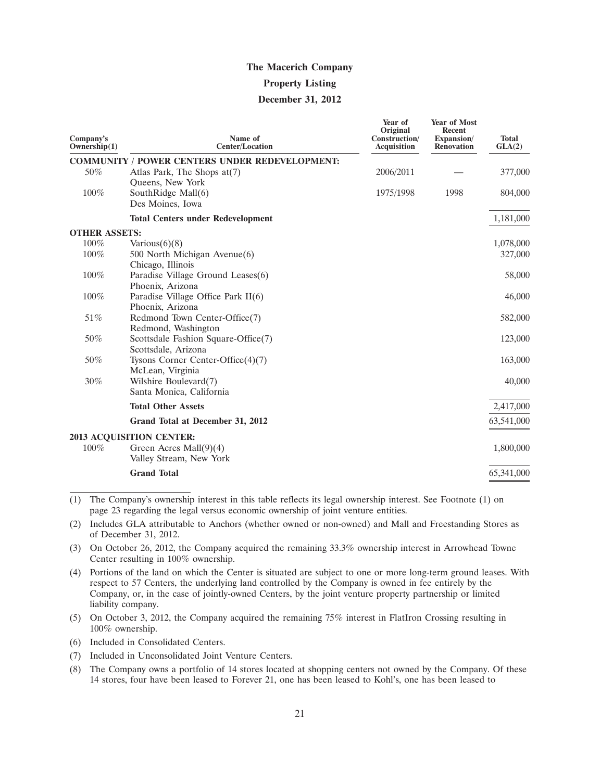#### **Property Listing**

#### **December 31, 2012**

| Company's<br>Ownership(1) | Name of<br><b>Center/Location</b>                      | Year of<br>Original<br>Construction/<br><b>Acquisition</b> | <b>Year of Most</b><br><b>Recent</b><br>Expansion/<br><b>Renovation</b> | <b>Total</b><br>GLA(2) |
|---------------------------|--------------------------------------------------------|------------------------------------------------------------|-------------------------------------------------------------------------|------------------------|
|                           | <b>COMMUNITY / POWER CENTERS UNDER REDEVELOPMENT:</b>  |                                                            |                                                                         |                        |
| 50%                       | Atlas Park, The Shops $at(7)$                          | 2006/2011                                                  |                                                                         | 377,000                |
|                           | Queens, New York                                       |                                                            |                                                                         |                        |
| 100%                      | SouthRidge Mall(6)<br>Des Moines, Iowa                 | 1975/1998                                                  | 1998                                                                    | 804,000                |
|                           | <b>Total Centers under Redevelopment</b>               |                                                            |                                                                         | 1,181,000              |
| <b>OTHER ASSETS:</b>      |                                                        |                                                            |                                                                         |                        |
| 100%                      | Various $(6)(8)$                                       |                                                            |                                                                         | 1,078,000              |
| 100%                      | 500 North Michigan Avenue(6)                           |                                                            |                                                                         | 327,000                |
| 100%                      | Chicago, Illinois<br>Paradise Village Ground Leases(6) |                                                            |                                                                         | 58,000                 |
|                           | Phoenix, Arizona                                       |                                                            |                                                                         |                        |
| 100%                      | Paradise Village Office Park $II(6)$                   |                                                            |                                                                         | 46,000                 |
|                           | Phoenix, Arizona                                       |                                                            |                                                                         |                        |
| 51%                       | Redmond Town Center-Office(7)                          |                                                            |                                                                         | 582,000                |
|                           | Redmond, Washington                                    |                                                            |                                                                         |                        |
| 50%                       | Scottsdale Fashion Square-Office(7)                    |                                                            |                                                                         | 123,000                |
|                           | Scottsdale, Arizona                                    |                                                            |                                                                         |                        |
| 50%                       | Tysons Corner Center-Office $(4)(7)$                   |                                                            |                                                                         | 163,000                |
| 30%                       | McLean, Virginia<br>Wilshire Boulevard(7)              |                                                            |                                                                         | 40,000                 |
|                           | Santa Monica, California                               |                                                            |                                                                         |                        |
|                           | <b>Total Other Assets</b>                              |                                                            |                                                                         | 2,417,000              |
|                           | Grand Total at December 31, 2012                       |                                                            |                                                                         | 63,541,000             |
|                           | 2013 ACQUISITION CENTER:                               |                                                            |                                                                         |                        |
| $100\%$                   | Green Acres Mall $(9)(4)$                              |                                                            |                                                                         | 1,800,000              |
|                           | Valley Stream, New York                                |                                                            |                                                                         |                        |
|                           | <b>Grand Total</b>                                     |                                                            |                                                                         | 65,341,000             |

(1) The Company's ownership interest in this table reflects its legal ownership interest. See Footnote (1) on page 23 regarding the legal versus economic ownership of joint venture entities.

(2) Includes GLA attributable to Anchors (whether owned or non-owned) and Mall and Freestanding Stores as of December 31, 2012.

(3) On October 26, 2012, the Company acquired the remaining 33.3% ownership interest in Arrowhead Towne Center resulting in 100% ownership.

- (4) Portions of the land on which the Center is situated are subject to one or more long-term ground leases. With respect to 57 Centers, the underlying land controlled by the Company is owned in fee entirely by the Company, or, in the case of jointly-owned Centers, by the joint venture property partnership or limited liability company.
- (5) On October 3, 2012, the Company acquired the remaining 75% interest in FlatIron Crossing resulting in 100% ownership.

(6) Included in Consolidated Centers.

- (7) Included in Unconsolidated Joint Venture Centers.
- (8) The Company owns a portfolio of 14 stores located at shopping centers not owned by the Company. Of these 14 stores, four have been leased to Forever 21, one has been leased to Kohl's, one has been leased to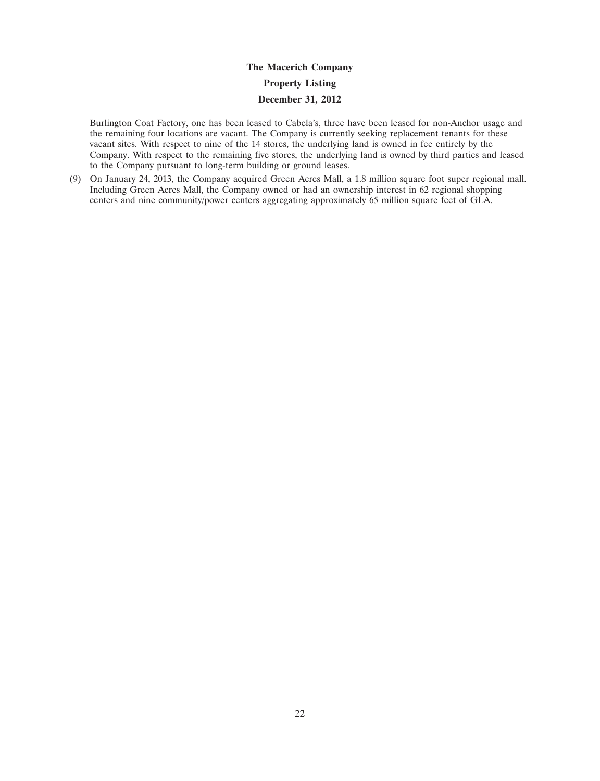Burlington Coat Factory, one has been leased to Cabela's, three have been leased for non-Anchor usage and the remaining four locations are vacant. The Company is currently seeking replacement tenants for these vacant sites. With respect to nine of the 14 stores, the underlying land is owned in fee entirely by the Company. With respect to the remaining five stores, the underlying land is owned by third parties and leased to the Company pursuant to long-term building or ground leases.

(9) On January 24, 2013, the Company acquired Green Acres Mall, a 1.8 million square foot super regional mall. Including Green Acres Mall, the Company owned or had an ownership interest in 62 regional shopping centers and nine community/power centers aggregating approximately 65 million square feet of GLA.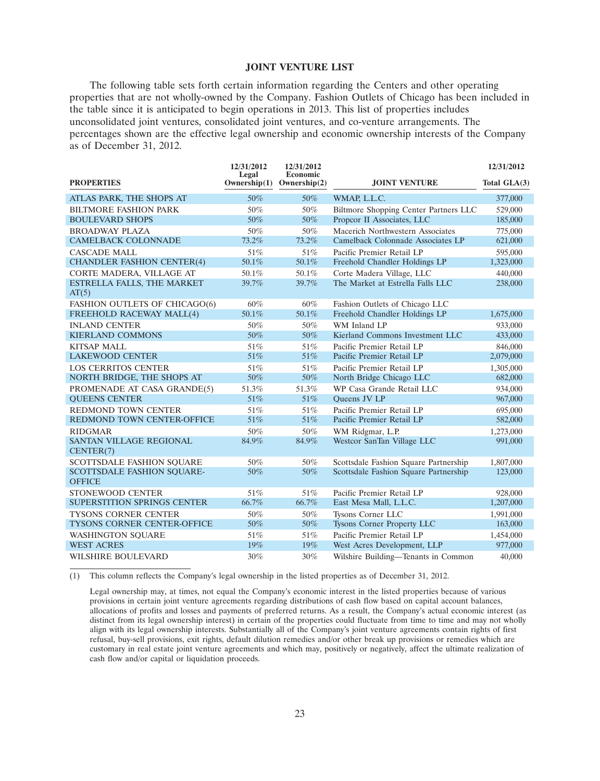#### **JOINT VENTURE LIST**

The following table sets forth certain information regarding the Centers and other operating properties that are not wholly-owned by the Company. Fashion Outlets of Chicago has been included in the table since it is anticipated to begin operations in 2013. This list of properties includes unconsolidated joint ventures, consolidated joint ventures, and co-venture arrangements. The percentages shown are the effective legal ownership and economic ownership interests of the Company as of December 31, 2012.

| <b>PROPERTIES</b>                                        | 12/31/2012<br>Legal<br>Ownership(1) | 12/31/2012<br>Economic<br>Ownership $(2)$ | <b>JOINT VENTURE</b>                                   | 12/31/2012<br>Total GLA(3) |
|----------------------------------------------------------|-------------------------------------|-------------------------------------------|--------------------------------------------------------|----------------------------|
| ATLAS PARK, THE SHOPS AT                                 | 50%                                 | 50%                                       | WMAP, L.L.C.                                           | 377,000                    |
| <b>BILTMORE FASHION PARK</b>                             | 50%                                 | 50%                                       | Biltmore Shopping Center Partners LLC                  | 529,000                    |
| <b>BOULEVARD SHOPS</b>                                   | 50%                                 | 50%                                       | Propcor II Associates, LLC                             | 185,000                    |
| <b>BROADWAY PLAZA</b>                                    | 50%                                 | 50%                                       | Macerich Northwestern Associates                       | 775,000                    |
| <b>CAMELBACK COLONNADE</b>                               | 73.2%                               | 73.2%                                     | Camelback Colonnade Associates LP                      | 621,000                    |
| <b>CASCADE MALL</b>                                      | 51%                                 | 51%                                       | Pacific Premier Retail LP                              | 595,000                    |
| <b>CHANDLER FASHION CENTER(4)</b>                        | 50.1%                               | 50.1%                                     | Freehold Chandler Holdings LP                          | 1,323,000                  |
| CORTE MADERA, VILLAGE AT                                 | 50.1%                               | 50.1%                                     | Corte Madera Village, LLC                              | 440,000                    |
| ESTRELLA FALLS, THE MARKET<br>AT(5)                      | 39.7%                               | 39.7%                                     | The Market at Estrella Falls LLC                       | 238,000                    |
| FASHION OUTLETS OF CHICAGO(6)                            | 60%                                 | $60\%$                                    | Fashion Outlets of Chicago LLC                         |                            |
| FREEHOLD RACEWAY MALL(4)                                 | 50.1%                               | 50.1%                                     | Freehold Chandler Holdings LP                          | 1,675,000                  |
| <b>INLAND CENTER</b>                                     | 50%                                 | 50%                                       | WM Inland LP                                           | 933,000                    |
| <b>KIERLAND COMMONS</b>                                  | 50%                                 | 50%                                       | Kierland Commons Investment LLC                        | 433,000                    |
| <b>KITSAP MALL</b>                                       | 51%                                 | 51%                                       | Pacific Premier Retail LP                              | 846,000                    |
| <b>LAKEWOOD CENTER</b>                                   | 51%                                 | 51%                                       | Pacific Premier Retail LP                              | 2,079,000                  |
| <b>LOS CERRITOS CENTER</b>                               | 51%                                 | 51%                                       | Pacific Premier Retail LP                              | 1,305,000                  |
| NORTH BRIDGE, THE SHOPS AT                               | 50%                                 | 50%                                       | North Bridge Chicago LLC                               | 682,000                    |
| PROMENADE AT CASA GRANDE(5)                              | 51.3%                               | 51.3%                                     | WP Casa Grande Retail LLC                              | 934,000                    |
| <b>OUEENS CENTER</b>                                     | 51%                                 | 51%                                       | Oueens JV LP                                           | 967,000                    |
| <b>REDMOND TOWN CENTER</b><br>REDMOND TOWN CENTER-OFFICE | 51%<br>51%                          | 51%<br>51%                                | Pacific Premier Retail LP<br>Pacific Premier Retail LP | 695,000                    |
|                                                          |                                     |                                           |                                                        | 582,000                    |
| <b>RIDGMAR</b><br><b>SANTAN VILLAGE REGIONAL</b>         | 50%<br>84.9%                        | 50%<br>84.9%                              | WM Ridgmar, L.P.<br>Westcor SanTan Village LLC         | 1,273,000<br>991,000       |
| CENTER(7)                                                |                                     |                                           |                                                        |                            |
| <b>SCOTTSDALE FASHION SOUARE</b>                         | 50%                                 | 50%                                       | Scottsdale Fashion Square Partnership                  | 1,807,000                  |
| <b>SCOTTSDALE FASHION SOUARE-</b><br><b>OFFICE</b>       | 50%                                 | 50%                                       | Scottsdale Fashion Square Partnership                  | 123,000                    |
| STONEWOOD CENTER                                         | 51%                                 | 51%                                       | Pacific Premier Retail LP                              | 928,000                    |
| SUPERSTITION SPRINGS CENTER                              | 66.7%                               | 66.7%                                     | East Mesa Mall, L.L.C.                                 | 1,207,000                  |
| <b>TYSONS CORNER CENTER</b>                              | 50%                                 | 50%                                       | Tysons Corner LLC                                      | 1.991.000                  |
| TYSONS CORNER CENTER-OFFICE                              | 50%                                 | 50%                                       | Tysons Corner Property LLC                             | 163,000                    |
| <b>WASHINGTON SOUARE</b>                                 | 51%                                 | 51%                                       | Pacific Premier Retail LP                              | 1,454,000                  |
| <b>WEST ACRES</b>                                        | 19%                                 | 19%                                       | West Acres Development, LLP                            | 977,000                    |
| WILSHIRE BOULEVARD                                       | 30%                                 | 30%                                       | Wilshire Building-Tenants in Common                    | 40,000                     |

(1) This column reflects the Company's legal ownership in the listed properties as of December 31, 2012.

Legal ownership may, at times, not equal the Company's economic interest in the listed properties because of various provisions in certain joint venture agreements regarding distributions of cash flow based on capital account balances, allocations of profits and losses and payments of preferred returns. As a result, the Company's actual economic interest (as distinct from its legal ownership interest) in certain of the properties could fluctuate from time to time and may not wholly align with its legal ownership interests. Substantially all of the Company's joint venture agreements contain rights of first refusal, buy-sell provisions, exit rights, default dilution remedies and/or other break up provisions or remedies which are customary in real estate joint venture agreements and which may, positively or negatively, affect the ultimate realization of cash flow and/or capital or liquidation proceeds.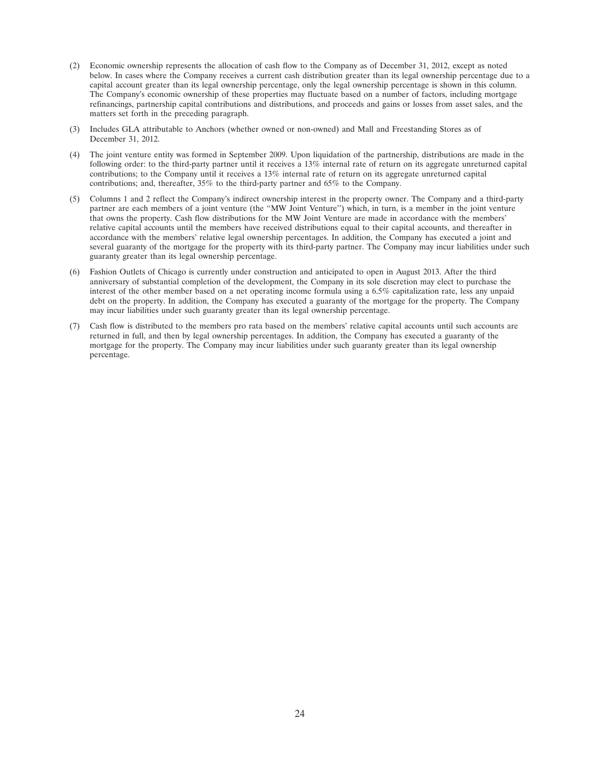- (2) Economic ownership represents the allocation of cash flow to the Company as of December 31, 2012, except as noted below. In cases where the Company receives a current cash distribution greater than its legal ownership percentage due to a capital account greater than its legal ownership percentage, only the legal ownership percentage is shown in this column. The Company's economic ownership of these properties may fluctuate based on a number of factors, including mortgage refinancings, partnership capital contributions and distributions, and proceeds and gains or losses from asset sales, and the matters set forth in the preceding paragraph.
- (3) Includes GLA attributable to Anchors (whether owned or non-owned) and Mall and Freestanding Stores as of December 31, 2012.
- (4) The joint venture entity was formed in September 2009. Upon liquidation of the partnership, distributions are made in the following order: to the third-party partner until it receives a 13% internal rate of return on its aggregate unreturned capital contributions; to the Company until it receives a 13% internal rate of return on its aggregate unreturned capital contributions; and, thereafter, 35% to the third-party partner and 65% to the Company.
- (5) Columns 1 and 2 reflect the Company's indirect ownership interest in the property owner. The Company and a third-party partner are each members of a joint venture (the ''MW Joint Venture'') which, in turn, is a member in the joint venture that owns the property. Cash flow distributions for the MW Joint Venture are made in accordance with the members' relative capital accounts until the members have received distributions equal to their capital accounts, and thereafter in accordance with the members' relative legal ownership percentages. In addition, the Company has executed a joint and several guaranty of the mortgage for the property with its third-party partner. The Company may incur liabilities under such guaranty greater than its legal ownership percentage.
- (6) Fashion Outlets of Chicago is currently under construction and anticipated to open in August 2013. After the third anniversary of substantial completion of the development, the Company in its sole discretion may elect to purchase the interest of the other member based on a net operating income formula using a 6.5% capitalization rate, less any unpaid debt on the property. In addition, the Company has executed a guaranty of the mortgage for the property. The Company may incur liabilities under such guaranty greater than its legal ownership percentage.
- (7) Cash flow is distributed to the members pro rata based on the members' relative capital accounts until such accounts are returned in full, and then by legal ownership percentages. In addition, the Company has executed a guaranty of the mortgage for the property. The Company may incur liabilities under such guaranty greater than its legal ownership percentage.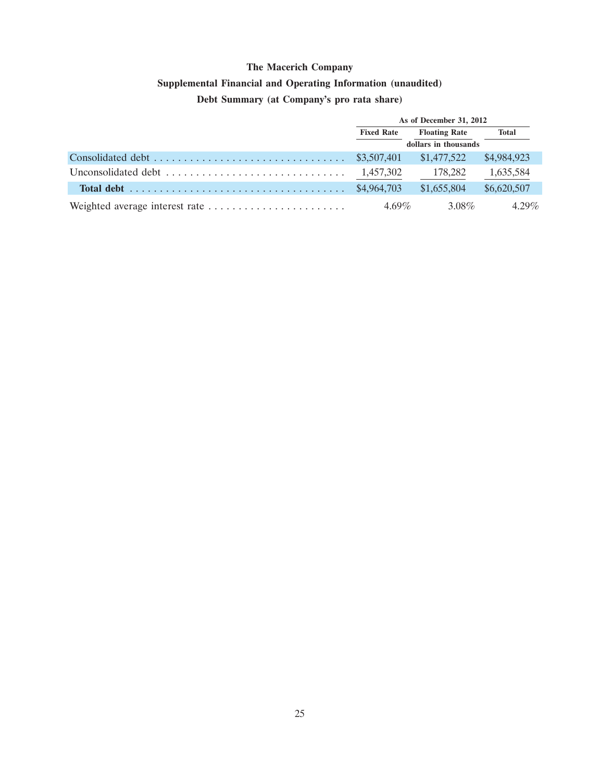# **Supplemental Financial and Operating Information (unaudited)**

### **Debt Summary (at Company's pro rata share)**

| As of December 31, 2012 |                      |              |  |
|-------------------------|----------------------|--------------|--|
| <b>Fixed Rate</b>       | <b>Floating Rate</b> | <b>Total</b> |  |
|                         | dollars in thousands |              |  |
|                         | \$1,477,522          | \$4,984,923  |  |
|                         | 178,282              | 1,635,584    |  |
|                         | \$1,655,804          | \$6,620,507  |  |
| $4.69\%$                | 3.08%                | $4.29\%$     |  |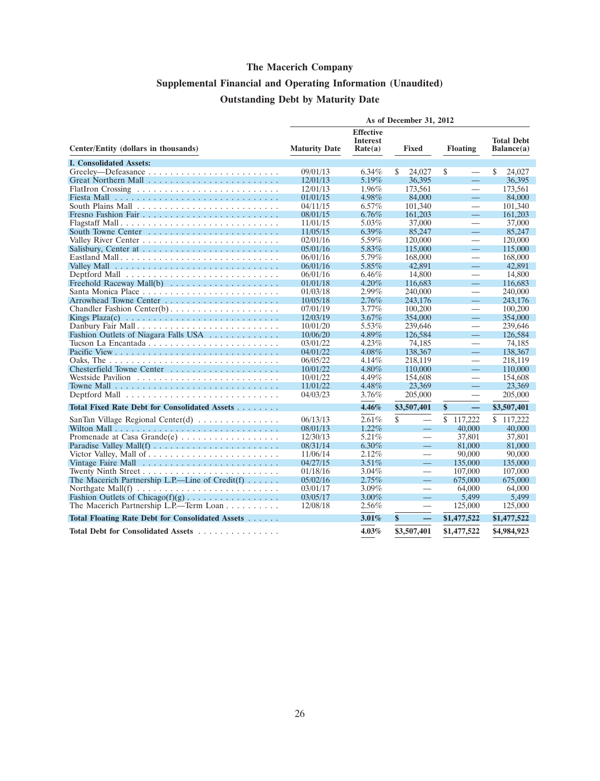# **Supplemental Financial and Operating Information (Unaudited) Outstanding Debt by Maturity Date**

|                                                                                        |                      |                                                | As of December 31, 2012        |                                |                                 |
|----------------------------------------------------------------------------------------|----------------------|------------------------------------------------|--------------------------------|--------------------------------|---------------------------------|
| Center/Entity (dollars in thousands)                                                   | <b>Maturity Date</b> | <b>Effective</b><br><b>Interest</b><br>Rate(a) | <b>Fixed</b>                   | <b>Floating</b>                | <b>Total Debt</b><br>Balance(a) |
| <b>I. Consolidated Assets:</b>                                                         |                      |                                                |                                |                                |                                 |
|                                                                                        | 09/01/13             | $6.34\%$                                       | \$<br>24,027                   | \$<br>$\overline{\phantom{0}}$ | \$<br>24,027                    |
|                                                                                        | 12/01/13             | 5.19%                                          | 36,395                         | 二                              | 36,395                          |
|                                                                                        | 12/01/13             | 1.96%                                          | 173,561                        | $\overline{\phantom{0}}$       | 173.561                         |
|                                                                                        | 01/01/15             | 4.98%                                          | 84,000                         | $\equiv$                       | 84,000                          |
|                                                                                        | 04/11/15             | 6.57%                                          | 101,340                        | $\overline{\phantom{0}}$       | 101,340                         |
|                                                                                        | 08/01/15             | $6.76\%$                                       | 161,203                        | ═                              | 161.203                         |
|                                                                                        | 11/01/15             | 5.03%                                          | 37,000                         | $\overline{\phantom{0}}$       | 37,000                          |
| South Towne Center                                                                     | 11/05/15             | $6.39\%$                                       | 85,247                         | $\equiv$                       | 85,247                          |
|                                                                                        | 02/01/16             | 5.59%                                          | 120,000                        | $\overline{\phantom{0}}$       | 120,000                         |
|                                                                                        | 05/01/16             | 5.83%                                          | 115,000                        | $\equiv$                       | 115,000                         |
|                                                                                        | 06/01/16             | 5.79%                                          | 168,000                        | $\overline{\phantom{0}}$       | 168,000                         |
|                                                                                        | 06/01/16             | 5.85%                                          | 42,891                         | $\equiv$                       | 42,891                          |
|                                                                                        | 06/01/16             | 6.46%                                          | 14,800                         | $\overline{\phantom{0}}$       | 14,800                          |
| Freehold Raceway Mall(b) $\ldots \ldots \ldots \ldots \ldots \ldots$                   | 01/01/18             | $4.20\%$                                       | 116,683                        | $\equiv$                       | 116,683                         |
|                                                                                        | 01/03/18             | 2.99%                                          | 240,000                        | $\overline{\phantom{0}}$       | 240,000                         |
|                                                                                        | 10/05/18             | 2.76%                                          | 243,176                        | $\equiv$                       | 243,176                         |
|                                                                                        | 07/01/19             | 3.77%                                          | 100,200                        | $\overline{\phantom{0}}$       | 100,200                         |
| Kings Plaza(c) $\ldots \ldots \ldots \ldots \ldots \ldots \ldots \ldots \ldots \ldots$ | 12/03/19             | 3.67%                                          | 354,000                        | $\equiv$                       | 354,000                         |
| Danbury Fair Mall                                                                      | 10/01/20             | 5.53%                                          | 239,646                        | $\overline{\phantom{0}}$       | 239,646                         |
| Fashion Outlets of Niagara Falls USA                                                   | 10/06/20             | 4.89%                                          | 126,584                        | $\equiv$                       | 126,584                         |
|                                                                                        | 03/01/22             | 4.23%                                          | 74,185                         | $\overline{\phantom{0}}$       | 74,185                          |
|                                                                                        | 04/01/22             | $4.08\%$                                       | 138,367                        | ═                              | 138,367                         |
|                                                                                        | 06/05/22             | $4.14\%$                                       | 218,119                        | $\overline{\phantom{0}}$       | 218,119                         |
|                                                                                        | 10/01/22             | 4.80%                                          | 110,000                        | 二                              | 110,000                         |
|                                                                                        | 10/01/22             | 4.49%                                          | 154,608                        | $\qquad \qquad$                | 154,608                         |
|                                                                                        | 11/01/22             | 4.48%                                          | 23,369                         | $\equiv$                       | 23.369                          |
|                                                                                        | 04/03/23             | $3.76\%$                                       | 205,000                        | $\overline{\phantom{0}}$       | 205,000                         |
| Total Fixed Rate Debt for Consolidated Assets                                          |                      | 4.46%                                          | \$3,507,401                    | \$<br>$\equiv$                 | \$3,507,401                     |
| SanTan Village Regional Center(d) $\ldots \ldots \ldots \ldots$                        | 06/13/13             | $2.61\%$                                       | \$<br>$\overline{\phantom{0}}$ | \$<br>117,222                  | \$117,222                       |
|                                                                                        | 08/01/13             | 1.22%                                          |                                | 40,000                         | 40,000                          |
| Promenade at Casa Grande(e)                                                            | 12/30/13             | 5.21%                                          | $\overline{\phantom{0}}$       | 37,801                         | 37,801                          |
|                                                                                        | 08/31/14             | $6.30\%$                                       |                                | 81,000                         | 81,000                          |
|                                                                                        | 11/06/14             | 2.12%                                          | $\overline{\phantom{0}}$       | 90,000                         | 90,000                          |
|                                                                                        | 04/27/15             | 3.51%                                          | $\overline{\phantom{0}}$       | 135,000                        | 135,000                         |
|                                                                                        | 01/18/16             | 3.04%                                          | $\overline{\phantom{0}}$       | 107,000                        | 107,000                         |
| The Macerich Partnership L.P.—Line of $Credit(f)$                                      | 05/02/16             | 2.75%                                          | $\overline{\phantom{0}}$       | 675,000                        | 675,000                         |
| Northgate Mall(f) $\dots \dots \dots \dots \dots \dots \dots \dots \dots$              | 03/01/17             | 3.09%                                          |                                | 64,000                         | 64,000                          |
| Fashion Outlets of Chicago(f)(g)                                                       | 03/05/17             | 3.00%                                          |                                | 5,499                          | 5,499                           |
| The Macerich Partnership L.P.—Term Loan                                                | 12/08/18             | $2.56\%$                                       |                                | 125,000                        | 125,000                         |
| Total Floating Rate Debt for Consolidated Assets                                       |                      | 3.01%                                          | \$<br>$\qquad \qquad -$        | \$1,477,522                    | \$1,477,522                     |
| Total Debt for Consolidated Assets                                                     |                      | 4.03%                                          | \$3,507,401                    | \$1,477,522                    | \$4,984,923                     |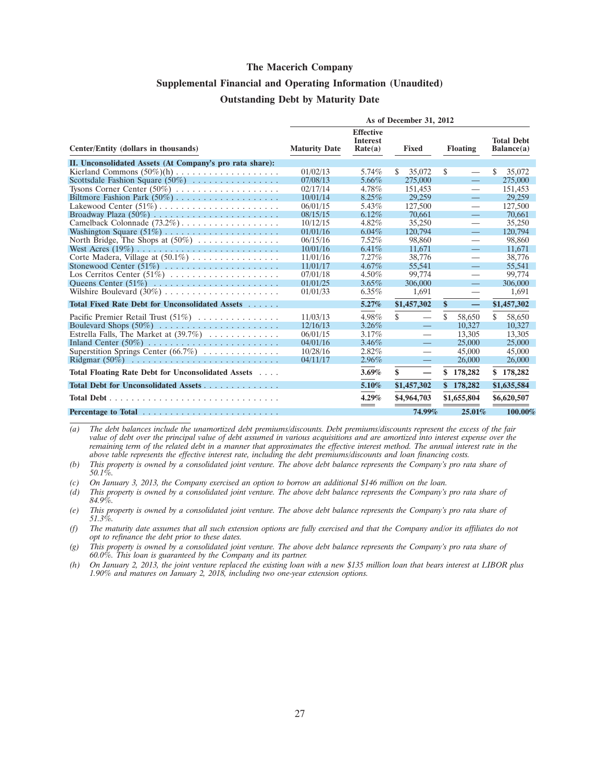### **Supplemental Financial and Operating Information (Unaudited) Outstanding Debt by Maturity Date**

|                                                                   | As of December 31, 2012 |                                                |                                |     |                          |                                 |
|-------------------------------------------------------------------|-------------------------|------------------------------------------------|--------------------------------|-----|--------------------------|---------------------------------|
| Center/Entity (dollars in thousands)                              | <b>Maturity Date</b>    | <b>Effective</b><br><b>Interest</b><br>Rate(a) | Fixed                          |     | <b>Floating</b>          | <b>Total Debt</b><br>Balance(a) |
| II. Unconsolidated Assets (At Company's pro rata share):          |                         |                                                |                                |     |                          |                                 |
|                                                                   | 01/02/13                | 5.74%                                          | \$<br>35,072                   | \$  |                          | \$<br>35,072                    |
| Scottsdale Fashion Square $(50\%)$                                | 07/08/13                | 5.66%                                          | 275,000                        |     | $=$                      | 275,000                         |
|                                                                   | 02/17/14                | 4.78%                                          | 151,453                        |     | $\overline{\phantom{m}}$ | 151,453                         |
|                                                                   | 10/01/14                | $8.25\%$                                       | 29,259                         |     |                          | 29,259                          |
|                                                                   | 06/01/15                | 5.43%                                          | 127,500                        |     | $\overline{\phantom{m}}$ | 127,500                         |
|                                                                   | 08/15/15                | $6.12\%$                                       | 70.661                         |     | $\equiv$                 | 70.661                          |
| Camelback Colonnade (73.2%)                                       | 10/12/15                | $4.82\%$                                       | 35,250                         |     |                          | 35,250                          |
|                                                                   | 01/01/16                | $6.04\%$                                       | 120,794                        |     | $\qquad \qquad -$        | 120,794                         |
| North Bridge, The Shops at $(50\%)$                               | 06/15/16                | $7.52\%$                                       | 98,860                         |     |                          | 98.860                          |
|                                                                   | 10/01/16                | 6.41%                                          | 11.671                         |     | $\equiv$                 | 11,671                          |
| Corte Madera, Village at $(50.1\%) \dots \dots \dots \dots \dots$ | 11/01/16                | 7.27%                                          | 38,776                         |     | —                        | 38,776                          |
| Stonewood Center $(51\%)$                                         | 11/01/17                | $4.67\%$                                       | 55.541                         |     | $\overline{\phantom{0}}$ | 55,541                          |
| Los Cerritos Center (51%)                                         | 07/01/18                | $4.50\%$                                       | 99,774                         |     | $\overline{\phantom{0}}$ | 99,774                          |
|                                                                   | 01/01/25                | $3.65\%$                                       | 306,000                        |     | $\equiv$                 | 306,000                         |
|                                                                   | 01/01/33                | $6.35\%$                                       | 1,691                          |     | —                        | 1.691                           |
| Total Fixed Rate Debt for Unconsolidated Assets                   |                         | 5.27%                                          | \$1,457,302                    | \$  | $\qquad \qquad -$        | \$1,457,302                     |
|                                                                   | 11/03/13                | 4.98%                                          | \$<br>$\overline{\phantom{0}}$ | \$. | 58,650                   | \$<br>58,650                    |
| Boulevard Shops $(50\%)$                                          | 12/16/13                | $3.26\%$                                       | $\overline{\phantom{0}}$       |     | 10.327                   | 10.327                          |
| Estrella Falls, The Market at $(39.7\%)$                          | 06/01/15                | 3.17%                                          | —                              |     | 13.305                   | 13.305                          |
|                                                                   | 04/01/16                | $3.46\%$                                       | $\equiv$                       |     | 25,000                   | 25,000                          |
| Superstition Springs Center $(66.7\%) \dots \dots \dots \dots$    | 10/28/16                | 2.82%                                          |                                |     | 45,000                   | 45,000                          |
|                                                                   | 04/11/17                | $2.96\%$                                       | $\frac{1}{2}$                  |     | 26,000                   | 26,000                          |
| Total Floating Rate Debt for Unconsolidated Assets                |                         | 3.69%                                          | \$                             | S   | 178,282                  | 178,282<br>\$                   |
| Total Debt for Unconsolidated Assets                              |                         | 5.10%                                          | \$1,457,302                    |     | \$178,282                | \$1,635,584                     |
|                                                                   |                         | 4.29%                                          | \$4,964,703                    |     | \$1,655,804              | \$6,620,507                     |
|                                                                   |                         |                                                | 74.99%                         |     | 25.01%                   | 100.00%                         |

*(a) The debt balances include the unamortized debt premiums/discounts. Debt premiums/discounts represent the excess of the fair value of debt over the principal value of debt assumed in various acquisitions and are amortized into interest expense over the remaining term of the related debt in a manner that approximates the effective interest method. The annual interest rate in the above table represents the effective interest rate, including the debt premiums/discounts and loan financing costs.*

*(b) This property is owned by a consolidated joint venture. The above debt balance represents the Company's pro rata share of 50.1%.*

*(c) On January 3, 2013, the Company exercised an option to borrow an additional \$146 million on the loan.*

*(d) This property is owned by a consolidated joint venture. The above debt balance represents the Company's pro rata share of 84.9%.*

*(e) This property is owned by a consolidated joint venture. The above debt balance represents the Company's pro rata share of 51.3%.*

*(f) The maturity date assumes that all such extension options are fully exercised and that the Company and/or its affiliates do not opt to refinance the debt prior to these dates.*

*(g) This property is owned by a consolidated joint venture. The above debt balance represents the Company's pro rata share of 60.0%. This loan is guaranteed by the Company and its partner.*

*(h) On January 2, 2013, the joint venture replaced the existing loan with a new \$135 million loan that bears interest at LIBOR plus 1.90% and matures on January 2, 2018, including two one-year extension options.*